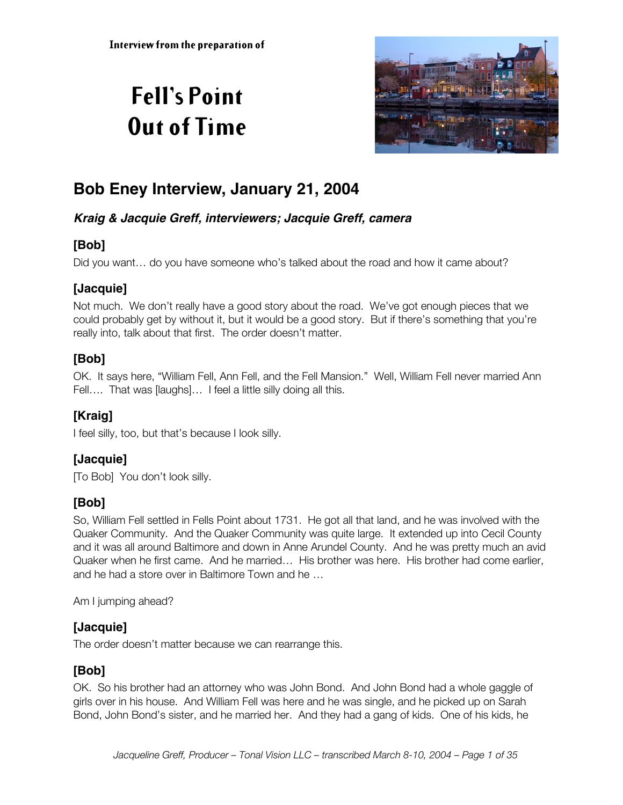# **Fell's Point Out of Time**



# **Bob Eney Interview, January 21, 2004**

### **Kraig & Jacquie Greff, interviewers; Jacquie Greff, camera**

# **[Bob]**

Did you want… do you have someone who's talked about the road and how it came about?

# **[Jacquie]**

Not much. We don't really have a good story about the road. We've got enough pieces that we could probably get by without it, but it would be a good story. But if there's something that you're really into, talk about that first. The order doesn't matter.

# **[Bob]**

OK. It says here, "William Fell, Ann Fell, and the Fell Mansion." Well, William Fell never married Ann Fell.... That was [laughs]... I feel a little silly doing all this.

# **[Kraig]**

I feel silly, too, but that's because I look silly.

# **[Jacquie]**

[To Bob] You don't look silly.

# **[Bob]**

So, William Fell settled in Fells Point about 1731. He got all that land, and he was involved with the Quaker Community. And the Quaker Community was quite large. It extended up into Cecil County and it was all around Baltimore and down in Anne Arundel County. And he was pretty much an avid Quaker when he first came. And he married… His brother was here. His brother had come earlier, and he had a store over in Baltimore Town and he …

Am I jumping ahead?

# **[Jacquie]**

The order doesn't matter because we can rearrange this.

### **[Bob]**

OK. So his brother had an attorney who was John Bond. And John Bond had a whole gaggle of girls over in his house. And William Fell was here and he was single, and he picked up on Sarah Bond, John Bond's sister, and he married her. And they had a gang of kids. One of his kids, he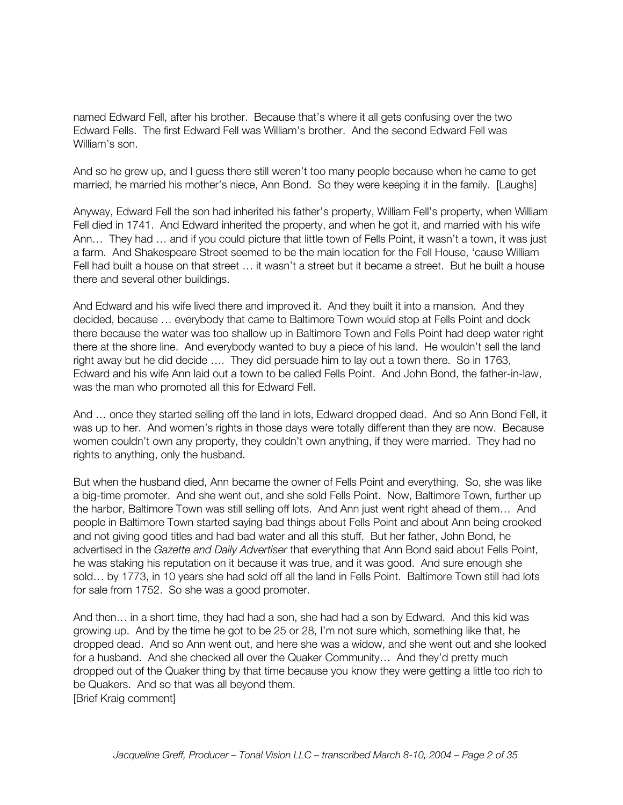named Edward Fell, after his brother. Because that's where it all gets confusing over the two Edward Fells. The first Edward Fell was William's brother. And the second Edward Fell was William's son.

And so he grew up, and I guess there still weren't too many people because when he came to get married, he married his mother's niece, Ann Bond. So they were keeping it in the family. [Laughs]

Anyway, Edward Fell the son had inherited his father's property, William Fell's property, when William Fell died in 1741. And Edward inherited the property, and when he got it, and married with his wife Ann… They had … and if you could picture that little town of Fells Point, it wasn't a town, it was just a farm. And Shakespeare Street seemed to be the main location for the Fell House, 'cause William Fell had built a house on that street … it wasn't a street but it became a street. But he built a house there and several other buildings.

And Edward and his wife lived there and improved it. And they built it into a mansion. And they decided, because … everybody that came to Baltimore Town would stop at Fells Point and dock there because the water was too shallow up in Baltimore Town and Fells Point had deep water right there at the shore line. And everybody wanted to buy a piece of his land. He wouldn't sell the land right away but he did decide …. They did persuade him to lay out a town there. So in 1763, Edward and his wife Ann laid out a town to be called Fells Point. And John Bond, the father-in-law, was the man who promoted all this for Edward Fell.

And … once they started selling off the land in lots, Edward dropped dead. And so Ann Bond Fell, it was up to her. And women's rights in those days were totally different than they are now. Because women couldn't own any property, they couldn't own anything, if they were married. They had no rights to anything, only the husband.

But when the husband died, Ann became the owner of Fells Point and everything. So, she was like a big-time promoter. And she went out, and she sold Fells Point. Now, Baltimore Town, further up the harbor, Baltimore Town was still selling off lots. And Ann just went right ahead of them… And people in Baltimore Town started saying bad things about Fells Point and about Ann being crooked and not giving good titles and had bad water and all this stuff. But her father, John Bond, he advertised in the *Gazette and Daily Advertiser* that everything that Ann Bond said about Fells Point, he was staking his reputation on it because it was true, and it was good. And sure enough she sold… by 1773, in 10 years she had sold off all the land in Fells Point. Baltimore Town still had lots for sale from 1752. So she was a good promoter.

And then… in a short time, they had had a son, she had had a son by Edward. And this kid was growing up. And by the time he got to be 25 or 28, I'm not sure which, something like that, he dropped dead. And so Ann went out, and here she was a widow, and she went out and she looked for a husband. And she checked all over the Quaker Community… And they'd pretty much dropped out of the Quaker thing by that time because you know they were getting a little too rich to be Quakers. And so that was all beyond them. [Brief Kraig comment]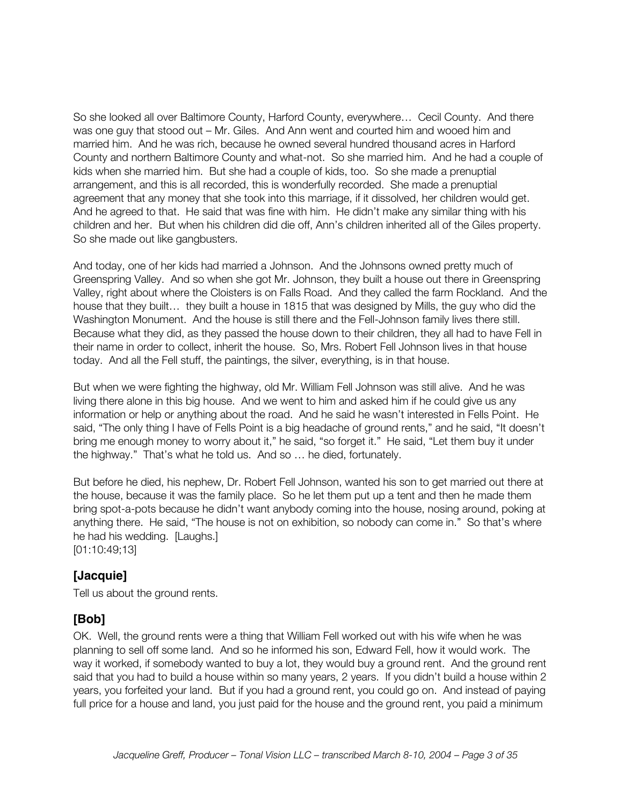So she looked all over Baltimore County, Harford County, everywhere… Cecil County. And there was one guy that stood out – Mr. Giles. And Ann went and courted him and wooed him and married him. And he was rich, because he owned several hundred thousand acres in Harford County and northern Baltimore County and what-not. So she married him. And he had a couple of kids when she married him. But she had a couple of kids, too. So she made a prenuptial arrangement, and this is all recorded, this is wonderfully recorded. She made a prenuptial agreement that any money that she took into this marriage, if it dissolved, her children would get. And he agreed to that. He said that was fine with him. He didn't make any similar thing with his children and her. But when his children did die off, Ann's children inherited all of the Giles property. So she made out like gangbusters.

And today, one of her kids had married a Johnson. And the Johnsons owned pretty much of Greenspring Valley. And so when she got Mr. Johnson, they built a house out there in Greenspring Valley, right about where the Cloisters is on Falls Road. And they called the farm Rockland. And the house that they built… they built a house in 1815 that was designed by Mills, the guy who did the Washington Monument. And the house is still there and the Fell-Johnson family lives there still. Because what they did, as they passed the house down to their children, they all had to have Fell in their name in order to collect, inherit the house. So, Mrs. Robert Fell Johnson lives in that house today. And all the Fell stuff, the paintings, the silver, everything, is in that house.

But when we were fighting the highway, old Mr. William Fell Johnson was still alive. And he was living there alone in this big house. And we went to him and asked him if he could give us any information or help or anything about the road. And he said he wasn't interested in Fells Point. He said, "The only thing I have of Fells Point is a big headache of ground rents," and he said, "It doesn't bring me enough money to worry about it," he said, "so forget it." He said, "Let them buy it under the highway." That's what he told us. And so … he died, fortunately.

But before he died, his nephew, Dr. Robert Fell Johnson, wanted his son to get married out there at the house, because it was the family place. So he let them put up a tent and then he made them bring spot-a-pots because he didn't want anybody coming into the house, nosing around, poking at anything there. He said, "The house is not on exhibition, so nobody can come in." So that's where he had his wedding. [Laughs.] [01:10:49;13]

### **[Jacquie]**

Tell us about the ground rents.

### **[Bob]**

OK. Well, the ground rents were a thing that William Fell worked out with his wife when he was planning to sell off some land. And so he informed his son, Edward Fell, how it would work. The way it worked, if somebody wanted to buy a lot, they would buy a ground rent. And the ground rent said that you had to build a house within so many years, 2 years. If you didn't build a house within 2 years, you forfeited your land. But if you had a ground rent, you could go on. And instead of paying full price for a house and land, you just paid for the house and the ground rent, you paid a minimum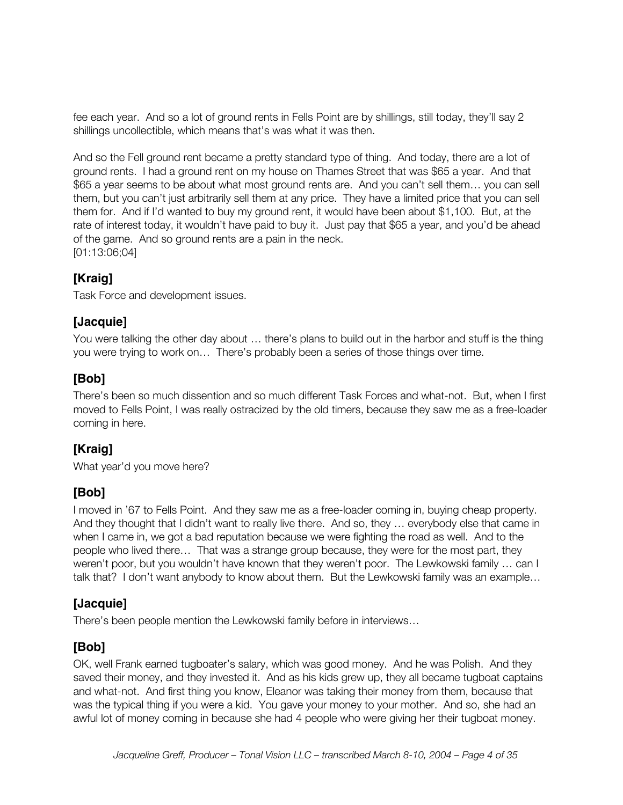fee each year. And so a lot of ground rents in Fells Point are by shillings, still today, they'll say 2 shillings uncollectible, which means that's was what it was then.

And so the Fell ground rent became a pretty standard type of thing. And today, there are a lot of ground rents. I had a ground rent on my house on Thames Street that was \$65 a year. And that \$65 a year seems to be about what most ground rents are. And you can't sell them… you can sell them, but you can't just arbitrarily sell them at any price. They have a limited price that you can sell them for. And if I'd wanted to buy my ground rent, it would have been about \$1,100. But, at the rate of interest today, it wouldn't have paid to buy it. Just pay that \$65 a year, and you'd be ahead of the game. And so ground rents are a pain in the neck. [01:13:06;04]

### **[Kraig]**

Task Force and development issues.

### **[Jacquie]**

You were talking the other day about … there's plans to build out in the harbor and stuff is the thing you were trying to work on… There's probably been a series of those things over time.

### **[Bob]**

There's been so much dissention and so much different Task Forces and what-not. But, when I first moved to Fells Point, I was really ostracized by the old timers, because they saw me as a free-loader coming in here.

### **[Kraig]**

What year'd you move here?

### **[Bob]**

I moved in '67 to Fells Point. And they saw me as a free-loader coming in, buying cheap property. And they thought that I didn't want to really live there. And so, they … everybody else that came in when I came in, we got a bad reputation because we were fighting the road as well. And to the people who lived there… That was a strange group because, they were for the most part, they weren't poor, but you wouldn't have known that they weren't poor. The Lewkowski family … can I talk that? I don't want anybody to know about them. But the Lewkowski family was an example…

#### **[Jacquie]**

There's been people mention the Lewkowski family before in interviews…

### **[Bob]**

OK, well Frank earned tugboater's salary, which was good money. And he was Polish. And they saved their money, and they invested it. And as his kids grew up, they all became tugboat captains and what-not. And first thing you know, Eleanor was taking their money from them, because that was the typical thing if you were a kid. You gave your money to your mother. And so, she had an awful lot of money coming in because she had 4 people who were giving her their tugboat money.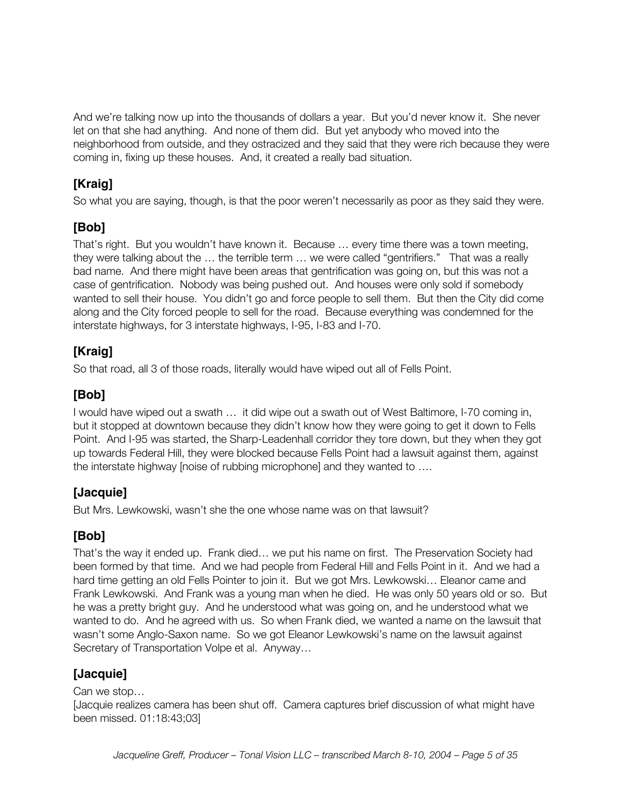And we're talking now up into the thousands of dollars a year. But you'd never know it. She never let on that she had anything. And none of them did. But yet anybody who moved into the neighborhood from outside, and they ostracized and they said that they were rich because they were coming in, fixing up these houses. And, it created a really bad situation.

# **[Kraig]**

So what you are saying, though, is that the poor weren't necessarily as poor as they said they were.

# **[Bob]**

That's right. But you wouldn't have known it. Because … every time there was a town meeting, they were talking about the … the terrible term … we were called "gentrifiers." That was a really bad name. And there might have been areas that gentrification was going on, but this was not a case of gentrification. Nobody was being pushed out. And houses were only sold if somebody wanted to sell their house. You didn't go and force people to sell them. But then the City did come along and the City forced people to sell for the road. Because everything was condemned for the interstate highways, for 3 interstate highways, I-95, I-83 and I-70.

# **[Kraig]**

So that road, all 3 of those roads, literally would have wiped out all of Fells Point.

# **[Bob]**

I would have wiped out a swath … it did wipe out a swath out of West Baltimore, I-70 coming in, but it stopped at downtown because they didn't know how they were going to get it down to Fells Point. And I-95 was started, the Sharp-Leadenhall corridor they tore down, but they when they got up towards Federal Hill, they were blocked because Fells Point had a lawsuit against them, against the interstate highway [noise of rubbing microphone] and they wanted to ….

# **[Jacquie]**

But Mrs. Lewkowski, wasn't she the one whose name was on that lawsuit?

# **[Bob]**

That's the way it ended up. Frank died… we put his name on first. The Preservation Society had been formed by that time. And we had people from Federal Hill and Fells Point in it. And we had a hard time getting an old Fells Pointer to join it. But we got Mrs. Lewkowski… Eleanor came and Frank Lewkowski. And Frank was a young man when he died. He was only 50 years old or so. But he was a pretty bright guy. And he understood what was going on, and he understood what we wanted to do. And he agreed with us. So when Frank died, we wanted a name on the lawsuit that wasn't some Anglo-Saxon name. So we got Eleanor Lewkowski's name on the lawsuit against Secretary of Transportation Volpe et al. Anyway…

# **[Jacquie]**

Can we stop…

[Jacquie realizes camera has been shut off. Camera captures brief discussion of what might have been missed. 01:18:43;03]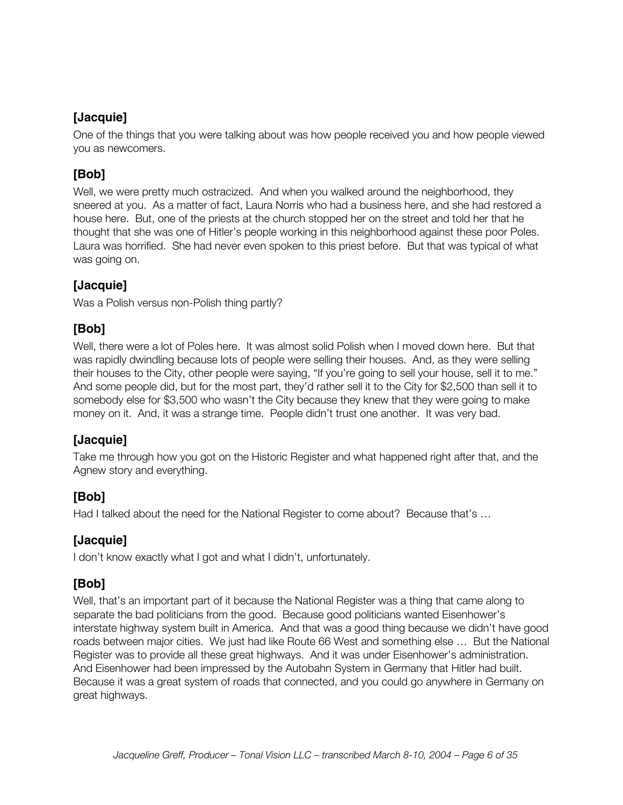One of the things that you were talking about was how people received you and how people viewed you as newcomers.

# **[Bob]**

Well, we were pretty much ostracized. And when you walked around the neighborhood, they sneered at you. As a matter of fact, Laura Norris who had a business here, and she had restored a house here. But, one of the priests at the church stopped her on the street and told her that he thought that she was one of Hitler's people working in this neighborhood against these poor Poles. Laura was horrified. She had never even spoken to this priest before. But that was typical of what was going on.

### **[Jacquie]**

Was a Polish versus non-Polish thing partly?

### **[Bob]**

Well, there were a lot of Poles here. It was almost solid Polish when I moved down here. But that was rapidly dwindling because lots of people were selling their houses. And, as they were selling their houses to the City, other people were saying, "If you're going to sell your house, sell it to me." And some people did, but for the most part, they'd rather sell it to the City for \$2,500 than sell it to somebody else for \$3,500 who wasn't the City because they knew that they were going to make money on it. And, it was a strange time. People didn't trust one another. It was very bad.

# **[Jacquie]**

Take me through how you got on the Historic Register and what happened right after that, and the Agnew story and everything.

### **[Bob]**

Had I talked about the need for the National Register to come about? Because that's ...

### **[Jacquie]**

I don't know exactly what I got and what I didn't, unfortunately.

### **[Bob]**

Well, that's an important part of it because the National Register was a thing that came along to separate the bad politicians from the good. Because good politicians wanted Eisenhower's interstate highway system built in America. And that was a good thing because we didn't have good roads between major cities. We just had like Route 66 West and something else … But the National Register was to provide all these great highways. And it was under Eisenhower's administration. And Eisenhower had been impressed by the Autobahn System in Germany that Hitler had built. Because it was a great system of roads that connected, and you could go anywhere in Germany on great highways.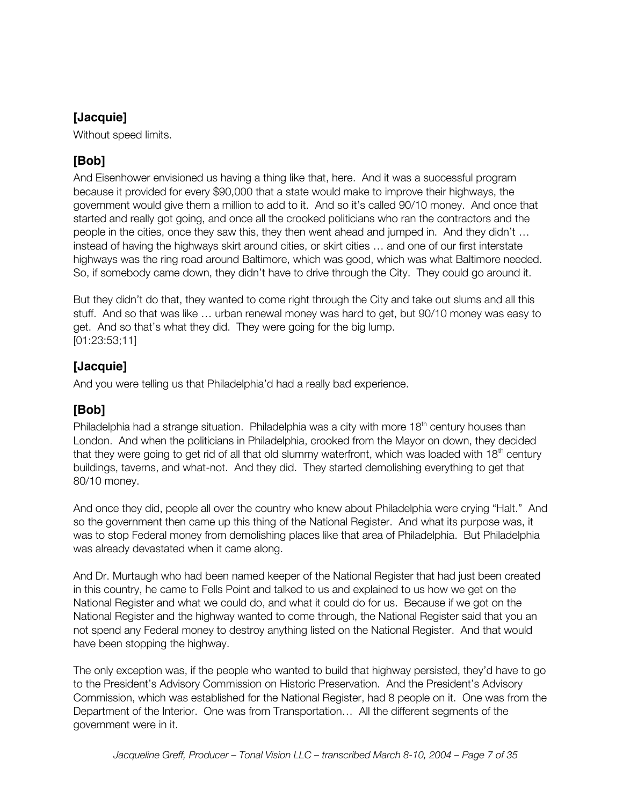Without speed limits.

# **[Bob]**

And Eisenhower envisioned us having a thing like that, here. And it was a successful program because it provided for every \$90,000 that a state would make to improve their highways, the government would give them a million to add to it. And so it's called 90/10 money. And once that started and really got going, and once all the crooked politicians who ran the contractors and the people in the cities, once they saw this, they then went ahead and jumped in. And they didn't … instead of having the highways skirt around cities, or skirt cities … and one of our first interstate highways was the ring road around Baltimore, which was good, which was what Baltimore needed. So, if somebody came down, they didn't have to drive through the City. They could go around it.

But they didn't do that, they wanted to come right through the City and take out slums and all this stuff. And so that was like … urban renewal money was hard to get, but 90/10 money was easy to get. And so that's what they did. They were going for the big lump. [01:23:53;11]

### **[Jacquie]**

And you were telling us that Philadelphia'd had a really bad experience.

### **[Bob]**

Philadelphia had a strange situation. Philadelphia was a city with more  $18<sup>th</sup>$  century houses than London. And when the politicians in Philadelphia, crooked from the Mayor on down, they decided that they were going to get rid of all that old slummy waterfront, which was loaded with  $18<sup>th</sup>$  century buildings, taverns, and what-not. And they did. They started demolishing everything to get that 80/10 money.

And once they did, people all over the country who knew about Philadelphia were crying "Halt." And so the government then came up this thing of the National Register. And what its purpose was, it was to stop Federal money from demolishing places like that area of Philadelphia. But Philadelphia was already devastated when it came along.

And Dr. Murtaugh who had been named keeper of the National Register that had just been created in this country, he came to Fells Point and talked to us and explained to us how we get on the National Register and what we could do, and what it could do for us. Because if we got on the National Register and the highway wanted to come through, the National Register said that you an not spend any Federal money to destroy anything listed on the National Register. And that would have been stopping the highway.

The only exception was, if the people who wanted to build that highway persisted, they'd have to go to the President's Advisory Commission on Historic Preservation. And the President's Advisory Commission, which was established for the National Register, had 8 people on it. One was from the Department of the Interior. One was from Transportation… All the different segments of the government were in it.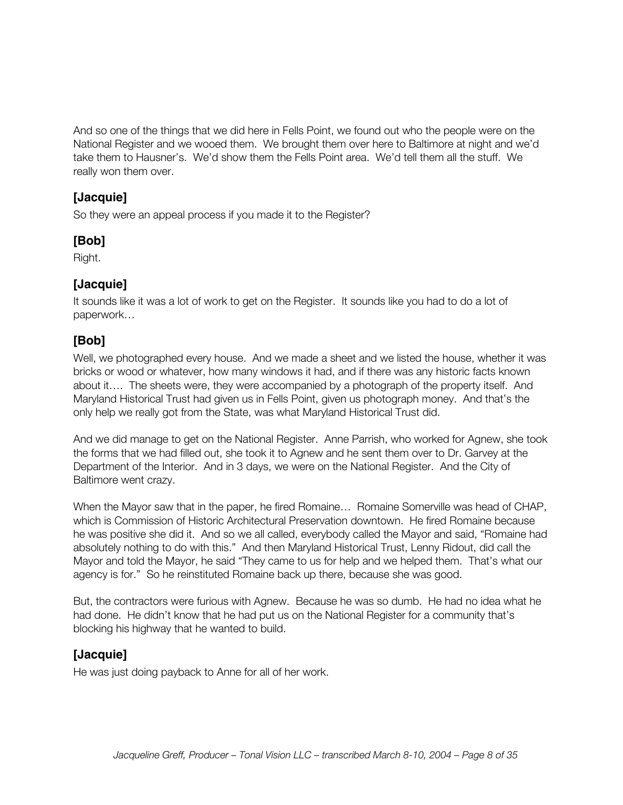And so one of the things that we did here in Fells Point, we found out who the people were on the National Register and we wooed them. We brought them over here to Baltimore at night and we'd take them to Hausner's. We'd show them the Fells Point area. We'd tell them all the stuff. We really won them over.

### **[Jacquie]**

So they were an appeal process if you made it to the Register?

### **[Bob]**

Right.

### **[Jacquie]**

It sounds like it was a lot of work to get on the Register. It sounds like you had to do a lot of paperwork…

# **[Bob]**

Well, we photographed every house. And we made a sheet and we listed the house, whether it was bricks or wood or whatever, how many windows it had, and if there was any historic facts known about it…. The sheets were, they were accompanied by a photograph of the property itself. And Maryland Historical Trust had given us in Fells Point, given us photograph money. And that's the only help we really got from the State, was what Maryland Historical Trust did.

And we did manage to get on the National Register. Anne Parrish, who worked for Agnew, she took the forms that we had filled out, she took it to Agnew and he sent them over to Dr. Garvey at the Department of the Interior. And in 3 days, we were on the National Register. And the City of Baltimore went crazy.

When the Mayor saw that in the paper, he fired Romaine… Romaine Somerville was head of CHAP, which is Commission of Historic Architectural Preservation downtown. He fired Romaine because he was positive she did it. And so we all called, everybody called the Mayor and said, "Romaine had absolutely nothing to do with this." And then Maryland Historical Trust, Lenny Ridout, did call the Mayor and told the Mayor, he said "They came to us for help and we helped them. That's what our agency is for." So he reinstituted Romaine back up there, because she was good.

But, the contractors were furious with Agnew. Because he was so dumb. He had no idea what he had done. He didn't know that he had put us on the National Register for a community that's blocking his highway that he wanted to build.

### **[Jacquie]**

He was just doing payback to Anne for all of her work.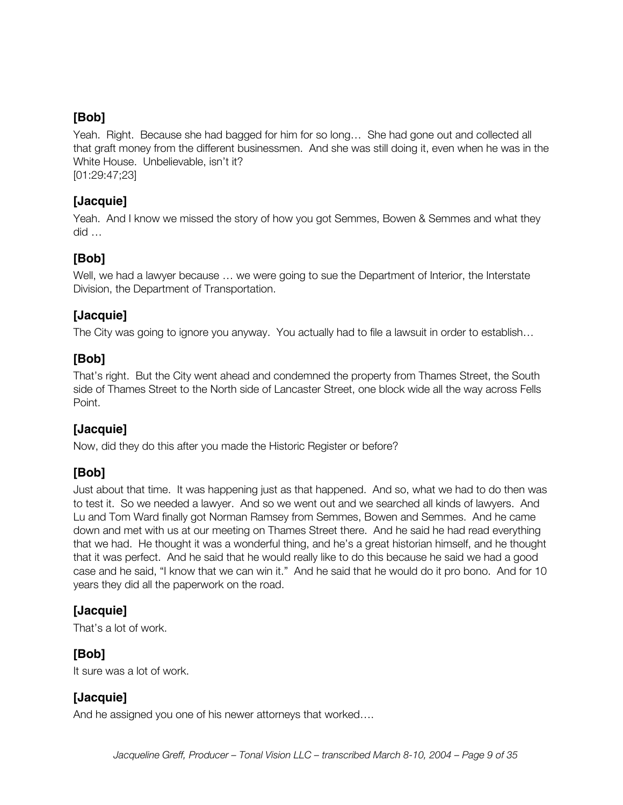Yeah. Right. Because she had bagged for him for so long… She had gone out and collected all that graft money from the different businessmen. And she was still doing it, even when he was in the White House. Unbelievable, isn't it?

[01:29:47;23]

### **[Jacquie]**

Yeah. And I know we missed the story of how you got Semmes, Bowen & Semmes and what they did …

### **[Bob]**

Well, we had a lawyer because ... we were going to sue the Department of Interior, the Interstate Division, the Department of Transportation.

### **[Jacquie]**

The City was going to ignore you anyway. You actually had to file a lawsuit in order to establish…

### **[Bob]**

That's right. But the City went ahead and condemned the property from Thames Street, the South side of Thames Street to the North side of Lancaster Street, one block wide all the way across Fells Point.

### **[Jacquie]**

Now, did they do this after you made the Historic Register or before?

### **[Bob]**

Just about that time. It was happening just as that happened. And so, what we had to do then was to test it. So we needed a lawyer. And so we went out and we searched all kinds of lawyers. And Lu and Tom Ward finally got Norman Ramsey from Semmes, Bowen and Semmes. And he came down and met with us at our meeting on Thames Street there. And he said he had read everything that we had. He thought it was a wonderful thing, and he's a great historian himself, and he thought that it was perfect. And he said that he would really like to do this because he said we had a good case and he said, "I know that we can win it." And he said that he would do it pro bono. And for 10 years they did all the paperwork on the road.

### **[Jacquie]**

That's a lot of work.

### **[Bob]**

It sure was a lot of work.

### **[Jacquie]**

And he assigned you one of his newer attorneys that worked….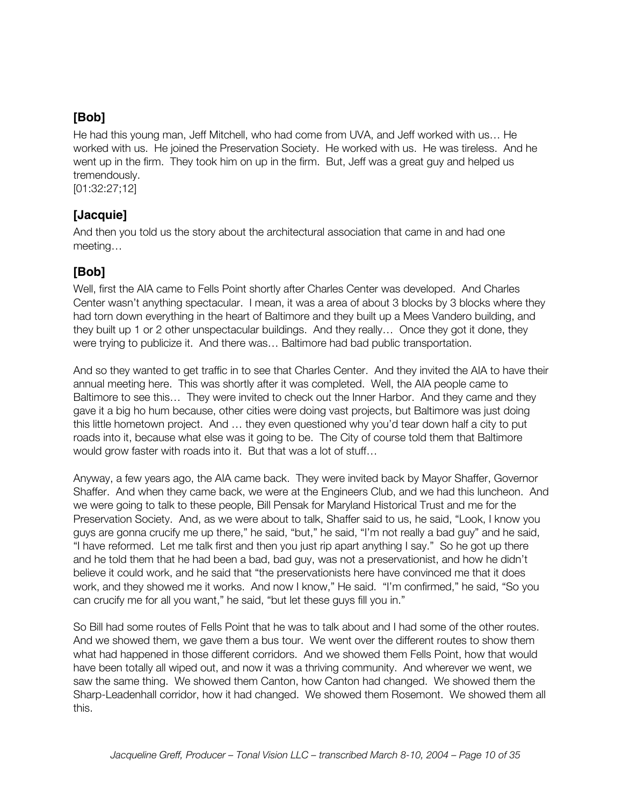He had this young man, Jeff Mitchell, who had come from UVA, and Jeff worked with us… He worked with us. He joined the Preservation Society. He worked with us. He was tireless. And he went up in the firm. They took him on up in the firm. But, Jeff was a great guy and helped us tremendously.

[01:32:27;12]

### **[Jacquie]**

And then you told us the story about the architectural association that came in and had one meeting…

### **[Bob]**

Well, first the AIA came to Fells Point shortly after Charles Center was developed. And Charles Center wasn't anything spectacular. I mean, it was a area of about 3 blocks by 3 blocks where they had torn down everything in the heart of Baltimore and they built up a Mees Vandero building, and they built up 1 or 2 other unspectacular buildings. And they really… Once they got it done, they were trying to publicize it. And there was… Baltimore had bad public transportation.

And so they wanted to get traffic in to see that Charles Center. And they invited the AIA to have their annual meeting here. This was shortly after it was completed. Well, the AIA people came to Baltimore to see this… They were invited to check out the Inner Harbor. And they came and they gave it a big ho hum because, other cities were doing vast projects, but Baltimore was just doing this little hometown project. And … they even questioned why you'd tear down half a city to put roads into it, because what else was it going to be. The City of course told them that Baltimore would grow faster with roads into it. But that was a lot of stuff…

Anyway, a few years ago, the AIA came back. They were invited back by Mayor Shaffer, Governor Shaffer. And when they came back, we were at the Engineers Club, and we had this luncheon. And we were going to talk to these people, Bill Pensak for Maryland Historical Trust and me for the Preservation Society. And, as we were about to talk, Shaffer said to us, he said, "Look, I know you guys are gonna crucify me up there," he said, "but," he said, "I'm not really a bad guy" and he said, "I have reformed. Let me talk first and then you just rip apart anything I say." So he got up there and he told them that he had been a bad, bad guy, was not a preservationist, and how he didn't believe it could work, and he said that "the preservationists here have convinced me that it does work, and they showed me it works. And now I know," He said. "I'm confirmed," he said, "So you can crucify me for all you want," he said, "but let these guys fill you in."

So Bill had some routes of Fells Point that he was to talk about and I had some of the other routes. And we showed them, we gave them a bus tour. We went over the different routes to show them what had happened in those different corridors. And we showed them Fells Point, how that would have been totally all wiped out, and now it was a thriving community. And wherever we went, we saw the same thing. We showed them Canton, how Canton had changed. We showed them the Sharp-Leadenhall corridor, how it had changed. We showed them Rosemont. We showed them all this.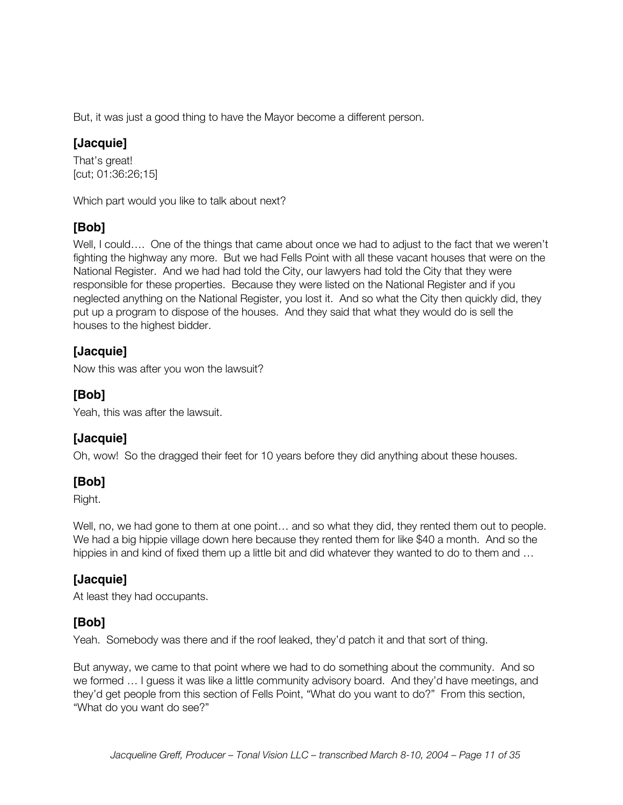But, it was just a good thing to have the Mayor become a different person.

### **[Jacquie]**

That's great! [cut; 01:36:26;15]

Which part would you like to talk about next?

### **[Bob]**

Well, I could…. One of the things that came about once we had to adjust to the fact that we weren't fighting the highway any more. But we had Fells Point with all these vacant houses that were on the National Register. And we had had told the City, our lawyers had told the City that they were responsible for these properties. Because they were listed on the National Register and if you neglected anything on the National Register, you lost it. And so what the City then quickly did, they put up a program to dispose of the houses. And they said that what they would do is sell the houses to the highest bidder.

### **[Jacquie]**

Now this was after you won the lawsuit?

### **[Bob]**

Yeah, this was after the lawsuit.

### **[Jacquie]**

Oh, wow! So the dragged their feet for 10 years before they did anything about these houses.

### **[Bob]**

Right.

Well, no, we had gone to them at one point… and so what they did, they rented them out to people. We had a big hippie village down here because they rented them for like \$40 a month. And so the hippies in and kind of fixed them up a little bit and did whatever they wanted to do to them and ...

# **[Jacquie]**

At least they had occupants.

### **[Bob]**

Yeah. Somebody was there and if the roof leaked, they'd patch it and that sort of thing.

But anyway, we came to that point where we had to do something about the community. And so we formed … I guess it was like a little community advisory board. And they'd have meetings, and they'd get people from this section of Fells Point, "What do you want to do?" From this section, "What do you want do see?"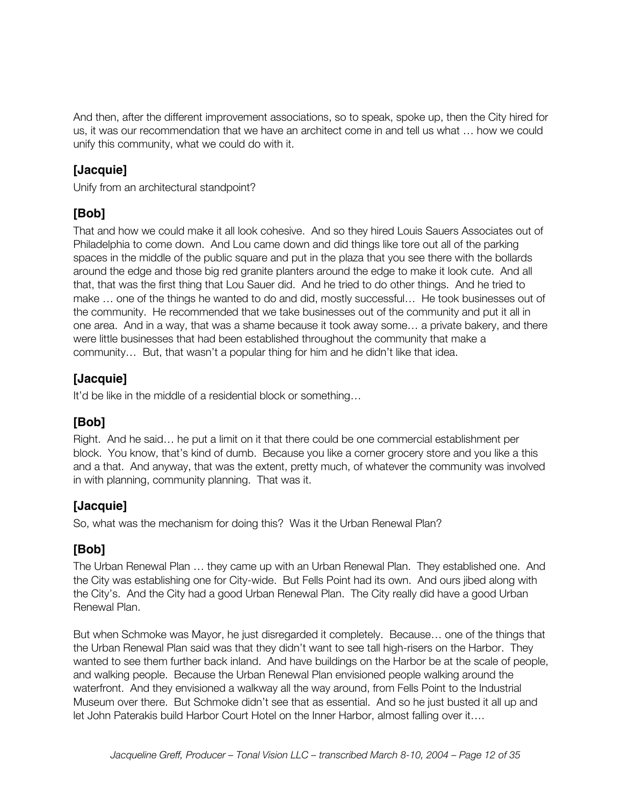And then, after the different improvement associations, so to speak, spoke up, then the City hired for us, it was our recommendation that we have an architect come in and tell us what … how we could unify this community, what we could do with it.

### **[Jacquie]**

Unify from an architectural standpoint?

# **[Bob]**

That and how we could make it all look cohesive. And so they hired Louis Sauers Associates out of Philadelphia to come down. And Lou came down and did things like tore out all of the parking spaces in the middle of the public square and put in the plaza that you see there with the bollards around the edge and those big red granite planters around the edge to make it look cute. And all that, that was the first thing that Lou Sauer did. And he tried to do other things. And he tried to make … one of the things he wanted to do and did, mostly successful… He took businesses out of the community. He recommended that we take businesses out of the community and put it all in one area. And in a way, that was a shame because it took away some… a private bakery, and there were little businesses that had been established throughout the community that make a community… But, that wasn't a popular thing for him and he didn't like that idea.

### **[Jacquie]**

It'd be like in the middle of a residential block or something…

# **[Bob]**

Right. And he said… he put a limit on it that there could be one commercial establishment per block. You know, that's kind of dumb. Because you like a corner grocery store and you like a this and a that. And anyway, that was the extent, pretty much, of whatever the community was involved in with planning, community planning. That was it.

### **[Jacquie]**

So, what was the mechanism for doing this? Was it the Urban Renewal Plan?

### **[Bob]**

The Urban Renewal Plan … they came up with an Urban Renewal Plan. They established one. And the City was establishing one for City-wide. But Fells Point had its own. And ours jibed along with the City's. And the City had a good Urban Renewal Plan. The City really did have a good Urban Renewal Plan.

But when Schmoke was Mayor, he just disregarded it completely. Because… one of the things that the Urban Renewal Plan said was that they didn't want to see tall high-risers on the Harbor. They wanted to see them further back inland. And have buildings on the Harbor be at the scale of people, and walking people. Because the Urban Renewal Plan envisioned people walking around the waterfront. And they envisioned a walkway all the way around, from Fells Point to the Industrial Museum over there. But Schmoke didn't see that as essential. And so he just busted it all up and let John Paterakis build Harbor Court Hotel on the Inner Harbor, almost falling over it….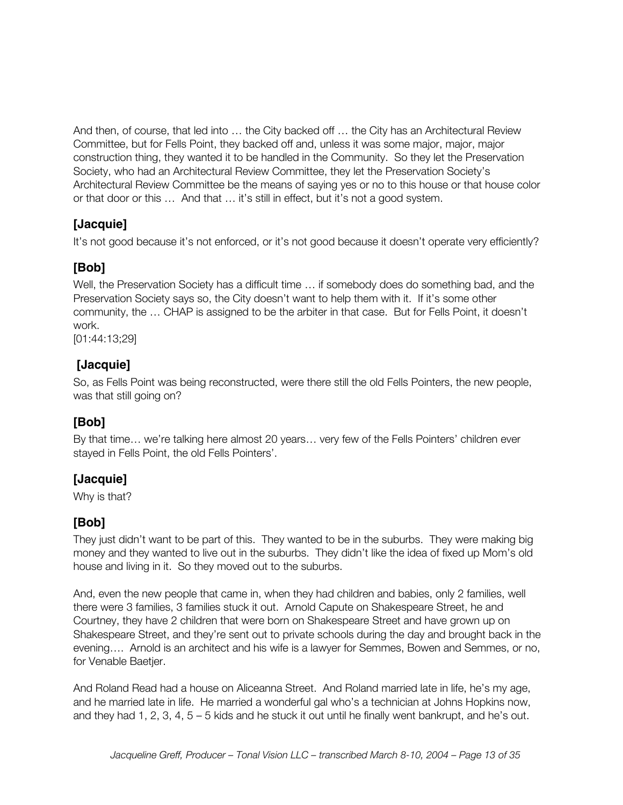And then, of course, that led into … the City backed off … the City has an Architectural Review Committee, but for Fells Point, they backed off and, unless it was some major, major, major construction thing, they wanted it to be handled in the Community. So they let the Preservation Society, who had an Architectural Review Committee, they let the Preservation Society's Architectural Review Committee be the means of saying yes or no to this house or that house color or that door or this … And that … it's still in effect, but it's not a good system.

# **[Jacquie]**

It's not good because it's not enforced, or it's not good because it doesn't operate very efficiently?

### **[Bob]**

Well, the Preservation Society has a difficult time … if somebody does do something bad, and the Preservation Society says so, the City doesn't want to help them with it. If it's some other community, the … CHAP is assigned to be the arbiter in that case. But for Fells Point, it doesn't work.

[01:44:13;29]

### **[Jacquie]**

So, as Fells Point was being reconstructed, were there still the old Fells Pointers, the new people, was that still going on?

# **[Bob]**

By that time… we're talking here almost 20 years… very few of the Fells Pointers' children ever stayed in Fells Point, the old Fells Pointers'.

# **[Jacquie]**

Why is that?

# **[Bob]**

They just didn't want to be part of this. They wanted to be in the suburbs. They were making big money and they wanted to live out in the suburbs. They didn't like the idea of fixed up Mom's old house and living in it. So they moved out to the suburbs.

And, even the new people that came in, when they had children and babies, only 2 families, well there were 3 families, 3 families stuck it out. Arnold Capute on Shakespeare Street, he and Courtney, they have 2 children that were born on Shakespeare Street and have grown up on Shakespeare Street, and they're sent out to private schools during the day and brought back in the evening…. Arnold is an architect and his wife is a lawyer for Semmes, Bowen and Semmes, or no, for Venable Baetjer.

And Roland Read had a house on Aliceanna Street. And Roland married late in life, he's my age, and he married late in life. He married a wonderful gal who's a technician at Johns Hopkins now, and they had 1, 2, 3, 4, 5 – 5 kids and he stuck it out until he finally went bankrupt, and he's out.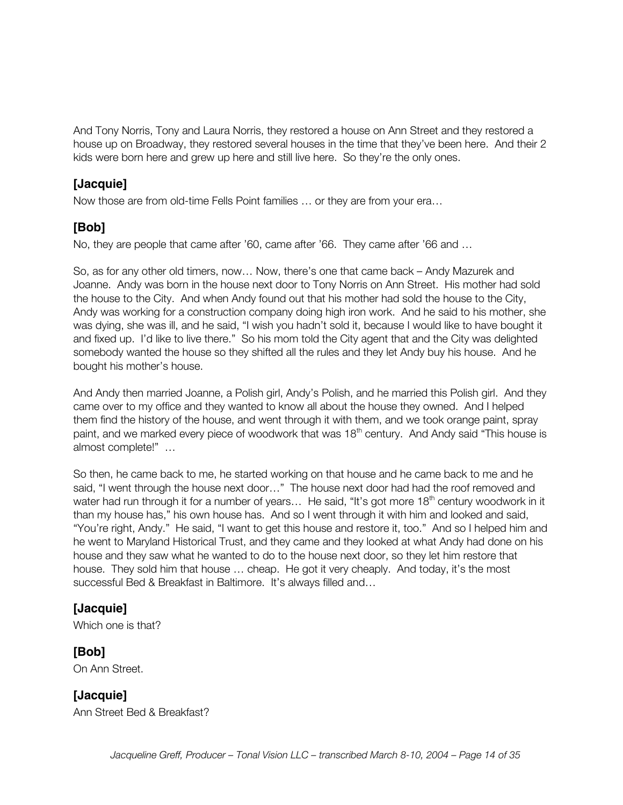And Tony Norris, Tony and Laura Norris, they restored a house on Ann Street and they restored a house up on Broadway, they restored several houses in the time that they've been here. And their 2 kids were born here and grew up here and still live here. So they're the only ones.

### **[Jacquie]**

Now those are from old-time Fells Point families … or they are from your era…

### **[Bob]**

No, they are people that came after '60, came after '66. They came after '66 and …

So, as for any other old timers, now… Now, there's one that came back – Andy Mazurek and Joanne. Andy was born in the house next door to Tony Norris on Ann Street. His mother had sold the house to the City. And when Andy found out that his mother had sold the house to the City, Andy was working for a construction company doing high iron work. And he said to his mother, she was dying, she was ill, and he said, "I wish you hadn't sold it, because I would like to have bought it and fixed up. I'd like to live there." So his mom told the City agent that and the City was delighted somebody wanted the house so they shifted all the rules and they let Andy buy his house. And he bought his mother's house.

And Andy then married Joanne, a Polish girl, Andy's Polish, and he married this Polish girl. And they came over to my office and they wanted to know all about the house they owned. And I helped them find the history of the house, and went through it with them, and we took orange paint, spray paint, and we marked every piece of woodwork that was 18<sup>th</sup> century. And Andy said "This house is almost complete!" …

So then, he came back to me, he started working on that house and he came back to me and he said, "I went through the house next door…" The house next door had had the roof removed and water had run through it for a number of years... He said, "It's got more 18<sup>th</sup> century woodwork in it than my house has," his own house has. And so I went through it with him and looked and said, "You're right, Andy." He said, "I want to get this house and restore it, too." And so I helped him and he went to Maryland Historical Trust, and they came and they looked at what Andy had done on his house and they saw what he wanted to do to the house next door, so they let him restore that house. They sold him that house ... cheap. He got it very cheaply. And today, it's the most successful Bed & Breakfast in Baltimore. It's always filled and...

# **[Jacquie]**

Which one is that?

### **[Bob]**

On Ann Street.

**[Jacquie]** Ann Street Bed & Breakfast?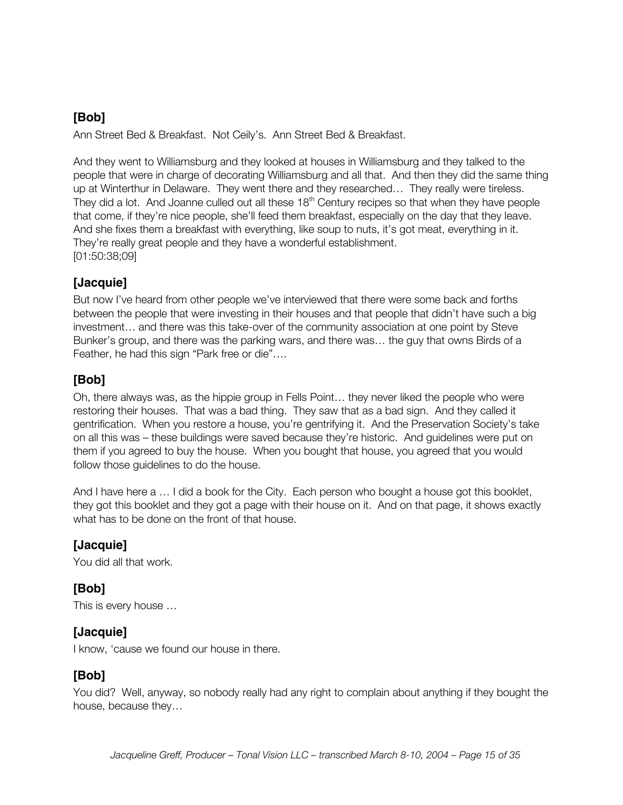Ann Street Bed & Breakfast. Not Ceily's. Ann Street Bed & Breakfast.

And they went to Williamsburg and they looked at houses in Williamsburg and they talked to the people that were in charge of decorating Williamsburg and all that. And then they did the same thing up at Winterthur in Delaware. They went there and they researched… They really were tireless. They did a lot. And Joanne culled out all these  $18<sup>th</sup>$  Century recipes so that when they have people that come, if they're nice people, she'll feed them breakfast, especially on the day that they leave. And she fixes them a breakfast with everything, like soup to nuts, it's got meat, everything in it. They're really great people and they have a wonderful establishment. [01:50:38;09]

### **[Jacquie]**

But now I've heard from other people we've interviewed that there were some back and forths between the people that were investing in their houses and that people that didn't have such a big investment… and there was this take-over of the community association at one point by Steve Bunker's group, and there was the parking wars, and there was… the guy that owns Birds of a Feather, he had this sign "Park free or die"….

# **[Bob]**

Oh, there always was, as the hippie group in Fells Point… they never liked the people who were restoring their houses. That was a bad thing. They saw that as a bad sign. And they called it gentrification. When you restore a house, you're gentrifying it. And the Preservation Society's take on all this was – these buildings were saved because they're historic. And guidelines were put on them if you agreed to buy the house. When you bought that house, you agreed that you would follow those guidelines to do the house.

And I have here a … I did a book for the City. Each person who bought a house got this booklet, they got this booklet and they got a page with their house on it. And on that page, it shows exactly what has to be done on the front of that house.

### **[Jacquie]**

You did all that work.

### **[Bob]**

This is every house …

### **[Jacquie]**

I know, 'cause we found our house in there.

# **[Bob]**

You did? Well, anyway, so nobody really had any right to complain about anything if they bought the house, because they…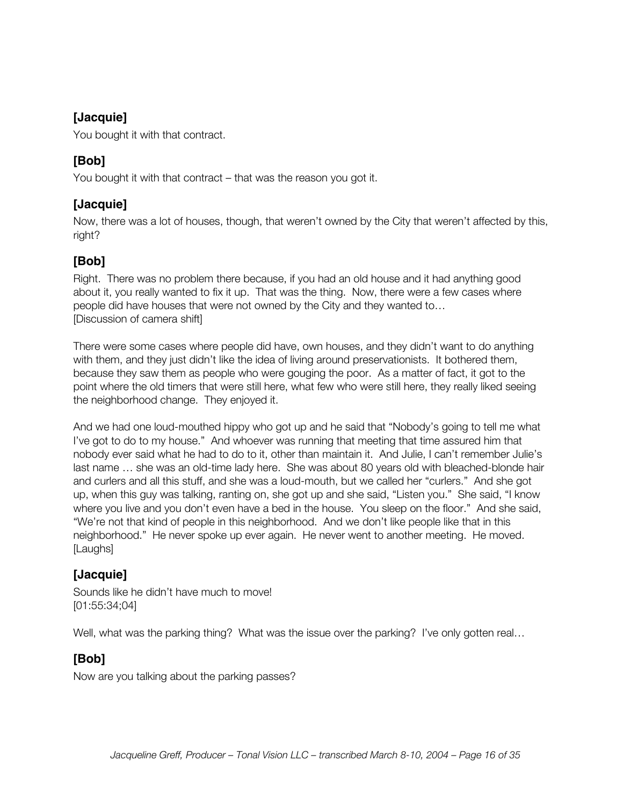You bought it with that contract.

### **[Bob]**

You bought it with that contract – that was the reason you got it.

### **[Jacquie]**

Now, there was a lot of houses, though, that weren't owned by the City that weren't affected by this, right?

# **[Bob]**

Right. There was no problem there because, if you had an old house and it had anything good about it, you really wanted to fix it up. That was the thing. Now, there were a few cases where people did have houses that were not owned by the City and they wanted to… [Discussion of camera shift]

There were some cases where people did have, own houses, and they didn't want to do anything with them, and they just didn't like the idea of living around preservationists. It bothered them, because they saw them as people who were gouging the poor. As a matter of fact, it got to the point where the old timers that were still here, what few who were still here, they really liked seeing the neighborhood change. They enjoyed it.

And we had one loud-mouthed hippy who got up and he said that "Nobody's going to tell me what I've got to do to my house." And whoever was running that meeting that time assured him that nobody ever said what he had to do to it, other than maintain it. And Julie, I can't remember Julie's last name … she was an old-time lady here. She was about 80 years old with bleached-blonde hair and curlers and all this stuff, and she was a loud-mouth, but we called her "curlers." And she got up, when this guy was talking, ranting on, she got up and she said, "Listen you." She said, "I know where you live and you don't even have a bed in the house. You sleep on the floor." And she said, "We're not that kind of people in this neighborhood. And we don't like people like that in this neighborhood." He never spoke up ever again. He never went to another meeting. He moved. [Laughs]

# **[Jacquie]**

Sounds like he didn't have much to move! [01:55:34;04]

Well, what was the parking thing? What was the issue over the parking? I've only gotten real...

### **[Bob]**

Now are you talking about the parking passes?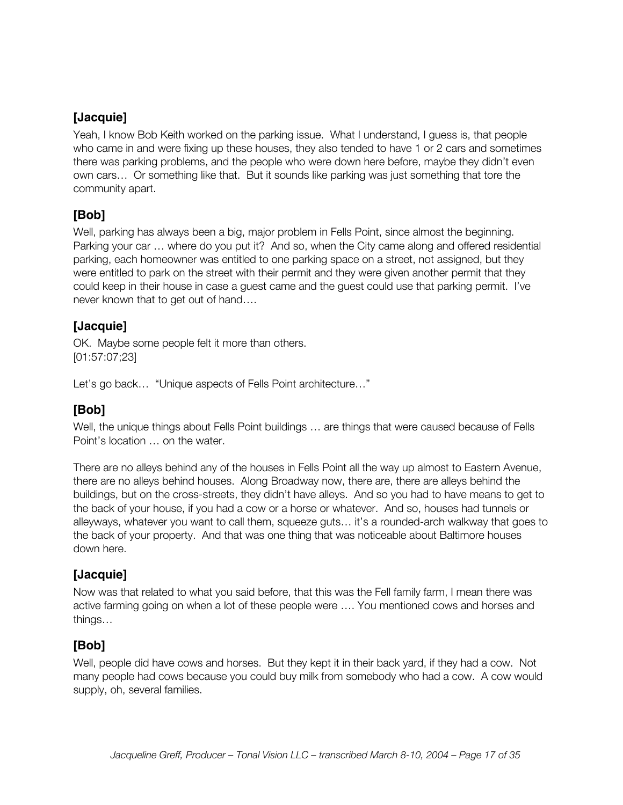Yeah, I know Bob Keith worked on the parking issue. What I understand, I guess is, that people who came in and were fixing up these houses, they also tended to have 1 or 2 cars and sometimes there was parking problems, and the people who were down here before, maybe they didn't even own cars… Or something like that. But it sounds like parking was just something that tore the community apart.

### **[Bob]**

Well, parking has always been a big, major problem in Fells Point, since almost the beginning. Parking your car … where do you put it? And so, when the City came along and offered residential parking, each homeowner was entitled to one parking space on a street, not assigned, but they were entitled to park on the street with their permit and they were given another permit that they could keep in their house in case a guest came and the guest could use that parking permit. I've never known that to get out of hand….

### **[Jacquie]**

OK. Maybe some people felt it more than others. [01:57:07;23]

Let's go back… "Unique aspects of Fells Point architecture…"

### **[Bob]**

Well, the unique things about Fells Point buildings … are things that were caused because of Fells Point's location … on the water.

There are no alleys behind any of the houses in Fells Point all the way up almost to Eastern Avenue, there are no alleys behind houses. Along Broadway now, there are, there are alleys behind the buildings, but on the cross-streets, they didn't have alleys. And so you had to have means to get to the back of your house, if you had a cow or a horse or whatever. And so, houses had tunnels or alleyways, whatever you want to call them, squeeze guts… it's a rounded-arch walkway that goes to the back of your property. And that was one thing that was noticeable about Baltimore houses down here.

### **[Jacquie]**

Now was that related to what you said before, that this was the Fell family farm, I mean there was active farming going on when a lot of these people were …. You mentioned cows and horses and things…

### **[Bob]**

Well, people did have cows and horses. But they kept it in their back yard, if they had a cow. Not many people had cows because you could buy milk from somebody who had a cow. A cow would supply, oh, several families.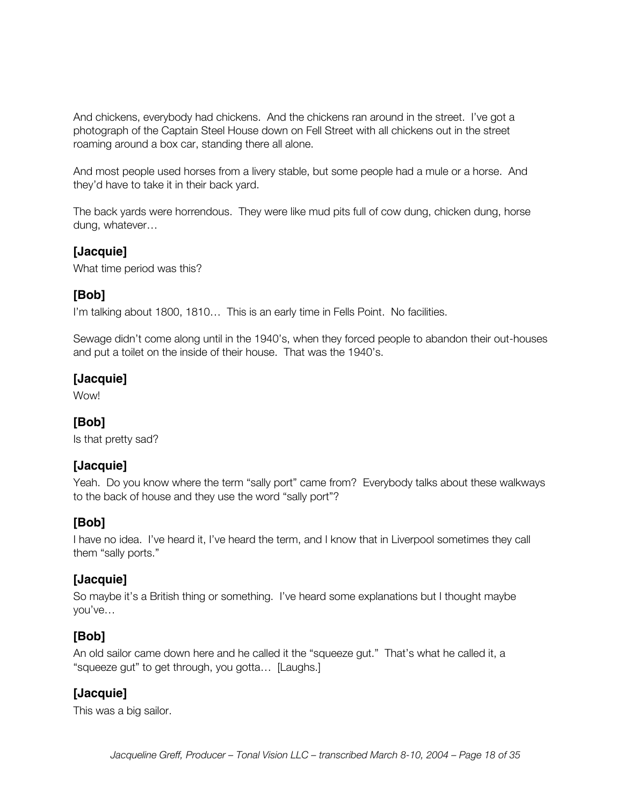And chickens, everybody had chickens. And the chickens ran around in the street. I've got a photograph of the Captain Steel House down on Fell Street with all chickens out in the street roaming around a box car, standing there all alone.

And most people used horses from a livery stable, but some people had a mule or a horse. And they'd have to take it in their back yard.

The back yards were horrendous. They were like mud pits full of cow dung, chicken dung, horse dung, whatever…

#### **[Jacquie]**

What time period was this?

#### **[Bob]**

I'm talking about 1800, 1810… This is an early time in Fells Point. No facilities.

Sewage didn't come along until in the 1940's, when they forced people to abandon their out-houses and put a toilet on the inside of their house. That was the 1940's.

### **[Jacquie]**

Wow!

### **[Bob]**

Is that pretty sad?

#### **[Jacquie]**

Yeah. Do you know where the term "sally port" came from? Everybody talks about these walkways to the back of house and they use the word "sally port"?

#### **[Bob]**

I have no idea. I've heard it, I've heard the term, and I know that in Liverpool sometimes they call them "sally ports."

### **[Jacquie]**

So maybe it's a British thing or something. I've heard some explanations but I thought maybe you've…

### **[Bob]**

An old sailor came down here and he called it the "squeeze gut." That's what he called it, a "squeeze gut" to get through, you gotta… [Laughs.]

### **[Jacquie]**

This was a big sailor.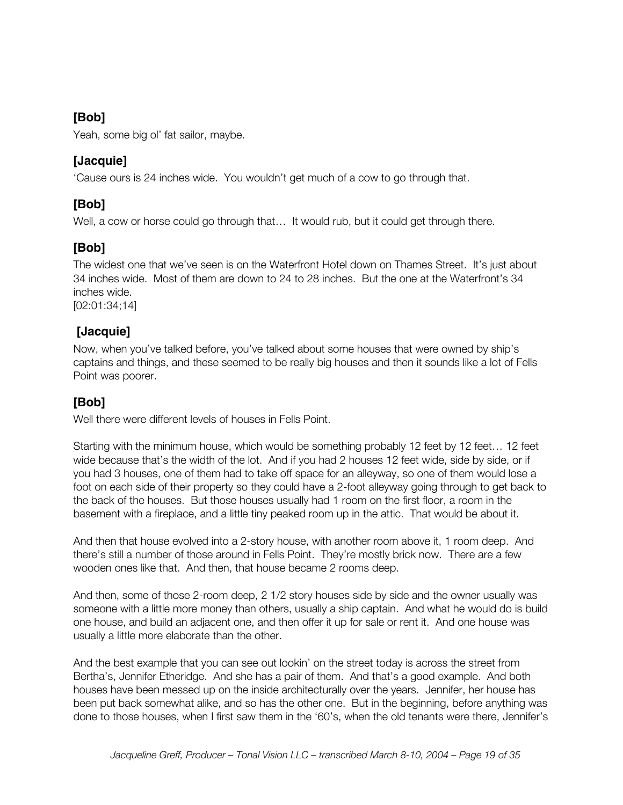Yeah, some big ol' fat sailor, maybe.

### **[Jacquie]**

'Cause ours is 24 inches wide. You wouldn't get much of a cow to go through that.

# **[Bob]**

Well, a cow or horse could go through that… It would rub, but it could get through there.

# **[Bob]**

The widest one that we've seen is on the Waterfront Hotel down on Thames Street. It's just about 34 inches wide. Most of them are down to 24 to 28 inches. But the one at the Waterfront's 34 inches wide.

[02:01:34;14]

### **[Jacquie]**

Now, when you've talked before, you've talked about some houses that were owned by ship's captains and things, and these seemed to be really big houses and then it sounds like a lot of Fells Point was poorer.

### **[Bob]**

Well there were different levels of houses in Fells Point.

Starting with the minimum house, which would be something probably 12 feet by 12 feet... 12 feet wide because that's the width of the lot. And if you had 2 houses 12 feet wide, side by side, or if you had 3 houses, one of them had to take off space for an alleyway, so one of them would lose a foot on each side of their property so they could have a 2-foot alleyway going through to get back to the back of the houses. But those houses usually had 1 room on the first floor, a room in the basement with a fireplace, and a little tiny peaked room up in the attic. That would be about it.

And then that house evolved into a 2-story house, with another room above it, 1 room deep. And there's still a number of those around in Fells Point. They're mostly brick now. There are a few wooden ones like that. And then, that house became 2 rooms deep.

And then, some of those 2-room deep, 2 1/2 story houses side by side and the owner usually was someone with a little more money than others, usually a ship captain. And what he would do is build one house, and build an adjacent one, and then offer it up for sale or rent it. And one house was usually a little more elaborate than the other.

And the best example that you can see out lookin' on the street today is across the street from Bertha's, Jennifer Etheridge. And she has a pair of them. And that's a good example. And both houses have been messed up on the inside architecturally over the years. Jennifer, her house has been put back somewhat alike, and so has the other one. But in the beginning, before anything was done to those houses, when I first saw them in the '60's, when the old tenants were there, Jennifer's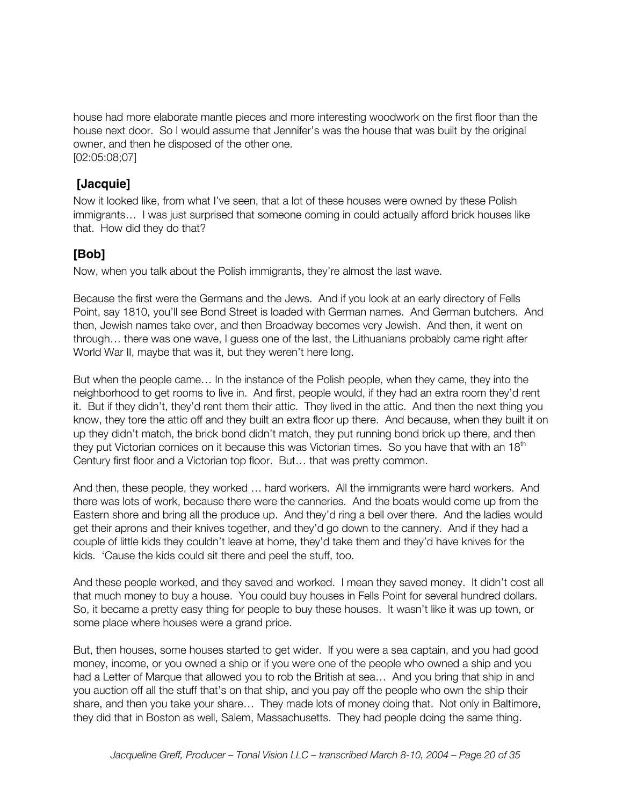house had more elaborate mantle pieces and more interesting woodwork on the first floor than the house next door. So I would assume that Jennifer's was the house that was built by the original owner, and then he disposed of the other one. [02:05:08;07]

 **[Jacquie]**

Now it looked like, from what I've seen, that a lot of these houses were owned by these Polish immigrants… I was just surprised that someone coming in could actually afford brick houses like that. How did they do that?

### **[Bob]**

Now, when you talk about the Polish immigrants, they're almost the last wave.

Because the first were the Germans and the Jews. And if you look at an early directory of Fells Point, say 1810, you'll see Bond Street is loaded with German names. And German butchers. And then, Jewish names take over, and then Broadway becomes very Jewish. And then, it went on through… there was one wave, I guess one of the last, the Lithuanians probably came right after World War II, maybe that was it, but they weren't here long.

But when the people came… In the instance of the Polish people, when they came, they into the neighborhood to get rooms to live in. And first, people would, if they had an extra room they'd rent it. But if they didn't, they'd rent them their attic. They lived in the attic. And then the next thing you know, they tore the attic off and they built an extra floor up there. And because, when they built it on up they didn't match, the brick bond didn't match, they put running bond brick up there, and then they put Victorian cornices on it because this was Victorian times. So you have that with an  $18<sup>th</sup>$ Century first floor and a Victorian top floor. But… that was pretty common.

And then, these people, they worked … hard workers. All the immigrants were hard workers. And there was lots of work, because there were the canneries. And the boats would come up from the Eastern shore and bring all the produce up. And they'd ring a bell over there. And the ladies would get their aprons and their knives together, and they'd go down to the cannery. And if they had a couple of little kids they couldn't leave at home, they'd take them and they'd have knives for the kids. 'Cause the kids could sit there and peel the stuff, too.

And these people worked, and they saved and worked. I mean they saved money. It didn't cost all that much money to buy a house. You could buy houses in Fells Point for several hundred dollars. So, it became a pretty easy thing for people to buy these houses. It wasn't like it was up town, or some place where houses were a grand price.

But, then houses, some houses started to get wider. If you were a sea captain, and you had good money, income, or you owned a ship or if you were one of the people who owned a ship and you had a Letter of Marque that allowed you to rob the British at sea... And you bring that ship in and you auction off all the stuff that's on that ship, and you pay off the people who own the ship their share, and then you take your share… They made lots of money doing that. Not only in Baltimore, they did that in Boston as well, Salem, Massachusetts. They had people doing the same thing.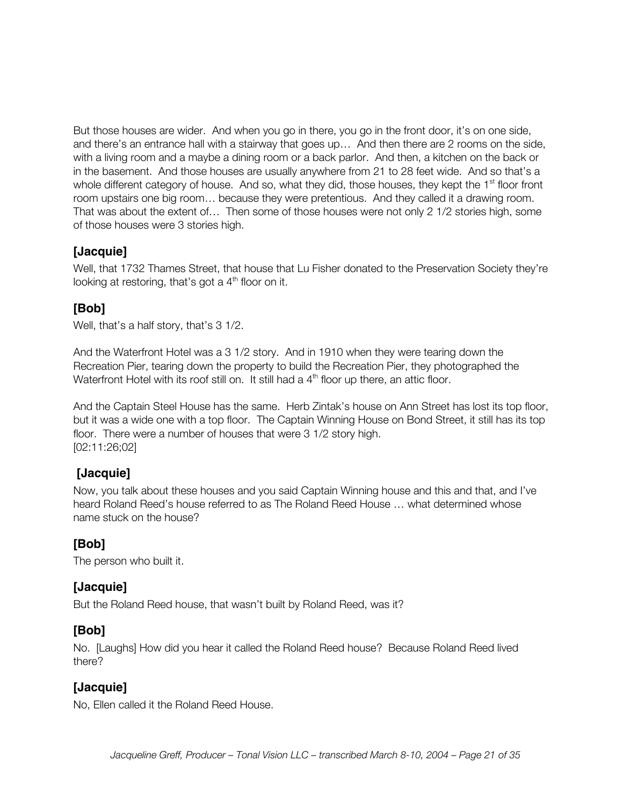But those houses are wider. And when you go in there, you go in the front door, it's on one side, and there's an entrance hall with a stairway that goes up… And then there are 2 rooms on the side, with a living room and a maybe a dining room or a back parlor. And then, a kitchen on the back or in the basement. And those houses are usually anywhere from 21 to 28 feet wide. And so that's a whole different category of house. And so, what they did, those houses, they kept the 1<sup>st</sup> floor front room upstairs one big room… because they were pretentious. And they called it a drawing room. That was about the extent of… Then some of those houses were not only 2 1/2 stories high, some of those houses were 3 stories high.

### **[Jacquie]**

Well, that 1732 Thames Street, that house that Lu Fisher donated to the Preservation Society they're looking at restoring, that's got a  $4<sup>th</sup>$  floor on it.

# **[Bob]**

Well, that's a half story, that's 3 1/2.

And the Waterfront Hotel was a 3 1/2 story. And in 1910 when they were tearing down the Recreation Pier, tearing down the property to build the Recreation Pier, they photographed the Waterfront Hotel with its roof still on. It still had a  $4<sup>th</sup>$  floor up there, an attic floor.

And the Captain Steel House has the same. Herb Zintak's house on Ann Street has lost its top floor, but it was a wide one with a top floor. The Captain Winning House on Bond Street, it still has its top floor. There were a number of houses that were 3 1/2 story high. [02:11:26;02]

### **[Jacquie]**

Now, you talk about these houses and you said Captain Winning house and this and that, and I've heard Roland Reed's house referred to as The Roland Reed House … what determined whose name stuck on the house?

### **[Bob]**

The person who built it.

### **[Jacquie]**

But the Roland Reed house, that wasn't built by Roland Reed, was it?

### **[Bob]**

No. [Laughs] How did you hear it called the Roland Reed house? Because Roland Reed lived there?

### **[Jacquie]**

No, Ellen called it the Roland Reed House.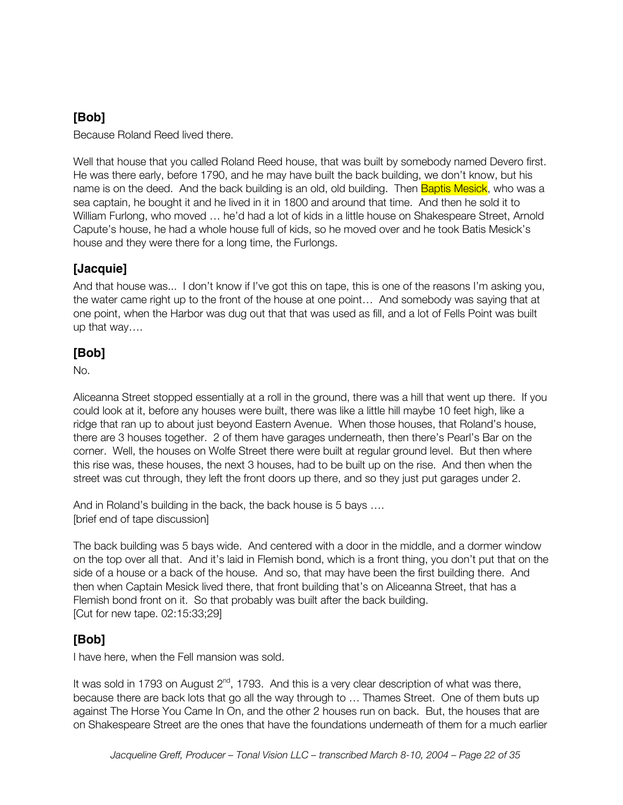Because Roland Reed lived there.

Well that house that you called Roland Reed house, that was built by somebody named Devero first. He was there early, before 1790, and he may have built the back building, we don't know, but his name is on the deed. And the back building is an old, old building. Then **Baptis Mesick**, who was a sea captain, he bought it and he lived in it in 1800 and around that time. And then he sold it to William Furlong, who moved … he'd had a lot of kids in a little house on Shakespeare Street, Arnold Capute's house, he had a whole house full of kids, so he moved over and he took Batis Mesick's house and they were there for a long time, the Furlongs.

# **[Jacquie]**

And that house was... I don't know if I've got this on tape, this is one of the reasons I'm asking you, the water came right up to the front of the house at one point… And somebody was saying that at one point, when the Harbor was dug out that that was used as fill, and a lot of Fells Point was built up that way….

# **[Bob]**

No.

Aliceanna Street stopped essentially at a roll in the ground, there was a hill that went up there. If you could look at it, before any houses were built, there was like a little hill maybe 10 feet high, like a ridge that ran up to about just beyond Eastern Avenue. When those houses, that Roland's house, there are 3 houses together. 2 of them have garages underneath, then there's Pearl's Bar on the corner. Well, the houses on Wolfe Street there were built at regular ground level. But then where this rise was, these houses, the next 3 houses, had to be built up on the rise. And then when the street was cut through, they left the front doors up there, and so they just put garages under 2.

And in Roland's building in the back, the back house is 5 bays …. [brief end of tape discussion]

The back building was 5 bays wide. And centered with a door in the middle, and a dormer window on the top over all that. And it's laid in Flemish bond, which is a front thing, you don't put that on the side of a house or a back of the house. And so, that may have been the first building there. And then when Captain Mesick lived there, that front building that's on Aliceanna Street, that has a Flemish bond front on it. So that probably was built after the back building. [Cut for new tape. 02:15:33;29]

# **[Bob]**

I have here, when the Fell mansion was sold.

It was sold in 1793 on August  $2^{nd}$ , 1793. And this is a very clear description of what was there, because there are back lots that go all the way through to … Thames Street. One of them buts up against The Horse You Came In On, and the other 2 houses run on back. But, the houses that are on Shakespeare Street are the ones that have the foundations underneath of them for a much earlier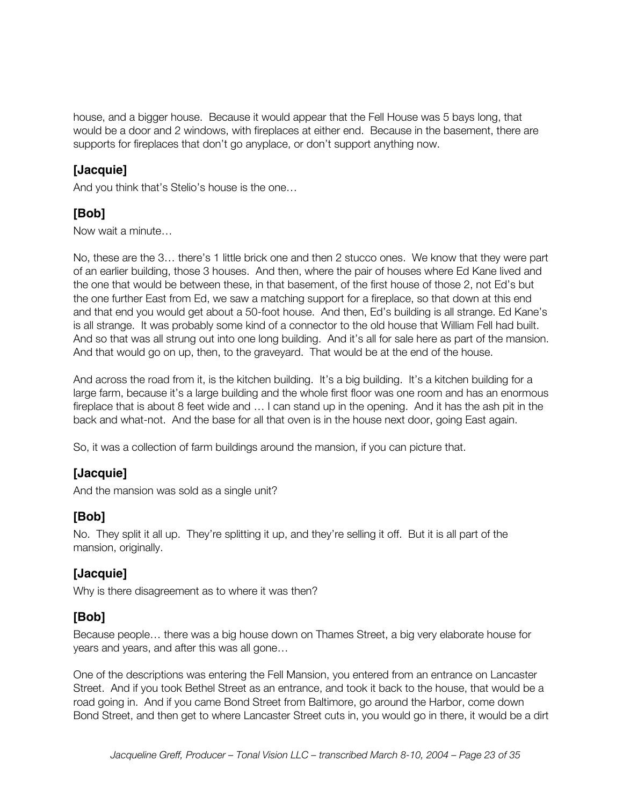house, and a bigger house. Because it would appear that the Fell House was 5 bays long, that would be a door and 2 windows, with fireplaces at either end. Because in the basement, there are supports for fireplaces that don't go anyplace, or don't support anything now.

### **[Jacquie]**

And you think that's Stelio's house is the one…

# **[Bob]**

Now wait a minute…

No, these are the 3… there's 1 little brick one and then 2 stucco ones. We know that they were part of an earlier building, those 3 houses. And then, where the pair of houses where Ed Kane lived and the one that would be between these, in that basement, of the first house of those 2, not Ed's but the one further East from Ed, we saw a matching support for a fireplace, so that down at this end and that end you would get about a 50-foot house. And then, Ed's building is all strange. Ed Kane's is all strange. It was probably some kind of a connector to the old house that William Fell had built. And so that was all strung out into one long building. And it's all for sale here as part of the mansion. And that would go on up, then, to the graveyard. That would be at the end of the house.

And across the road from it, is the kitchen building. It's a big building. It's a kitchen building for a large farm, because it's a large building and the whole first floor was one room and has an enormous fireplace that is about 8 feet wide and … I can stand up in the opening. And it has the ash pit in the back and what-not. And the base for all that oven is in the house next door, going East again.

So, it was a collection of farm buildings around the mansion, if you can picture that.

# **[Jacquie]**

And the mansion was sold as a single unit?

# **[Bob]**

No. They split it all up. They're splitting it up, and they're selling it off. But it is all part of the mansion, originally.

# **[Jacquie]**

Why is there disagreement as to where it was then?

### **[Bob]**

Because people… there was a big house down on Thames Street, a big very elaborate house for years and years, and after this was all gone…

One of the descriptions was entering the Fell Mansion, you entered from an entrance on Lancaster Street. And if you took Bethel Street as an entrance, and took it back to the house, that would be a road going in. And if you came Bond Street from Baltimore, go around the Harbor, come down Bond Street, and then get to where Lancaster Street cuts in, you would go in there, it would be a dirt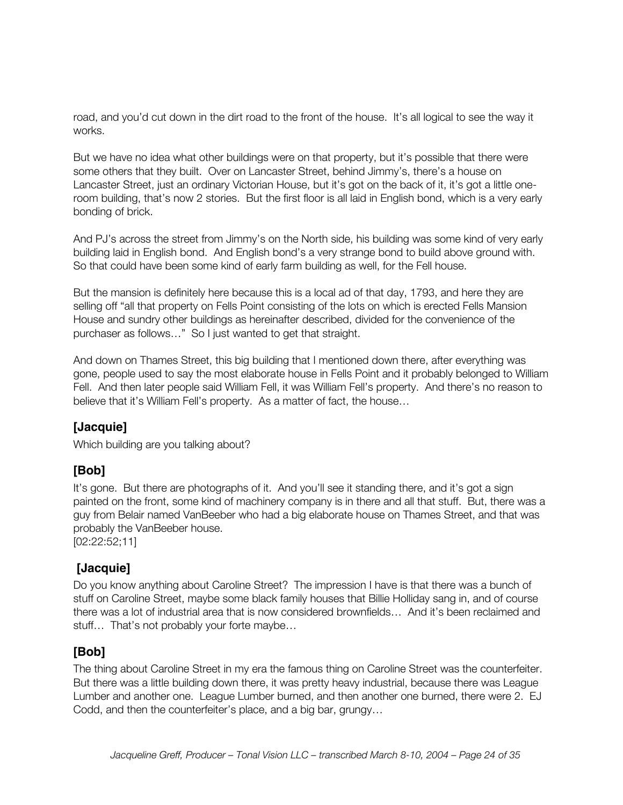road, and you'd cut down in the dirt road to the front of the house. It's all logical to see the way it works.

But we have no idea what other buildings were on that property, but it's possible that there were some others that they built. Over on Lancaster Street, behind Jimmy's, there's a house on Lancaster Street, just an ordinary Victorian House, but it's got on the back of it, it's got a little oneroom building, that's now 2 stories. But the first floor is all laid in English bond, which is a very early bonding of brick.

And PJ's across the street from Jimmy's on the North side, his building was some kind of very early building laid in English bond. And English bond's a very strange bond to build above ground with. So that could have been some kind of early farm building as well, for the Fell house.

But the mansion is definitely here because this is a local ad of that day, 1793, and here they are selling off "all that property on Fells Point consisting of the lots on which is erected Fells Mansion House and sundry other buildings as hereinafter described, divided for the convenience of the purchaser as follows…" So I just wanted to get that straight.

And down on Thames Street, this big building that I mentioned down there, after everything was gone, people used to say the most elaborate house in Fells Point and it probably belonged to William Fell. And then later people said William Fell, it was William Fell's property. And there's no reason to believe that it's William Fell's property. As a matter of fact, the house…

### **[Jacquie]**

Which building are you talking about?

### **[Bob]**

It's gone. But there are photographs of it. And you'll see it standing there, and it's got a sign painted on the front, some kind of machinery company is in there and all that stuff. But, there was a guy from Belair named VanBeeber who had a big elaborate house on Thames Street, and that was probably the VanBeeber house.

[02:22:52;11]

### **[Jacquie]**

Do you know anything about Caroline Street? The impression I have is that there was a bunch of stuff on Caroline Street, maybe some black family houses that Billie Holliday sang in, and of course there was a lot of industrial area that is now considered brownfields… And it's been reclaimed and stuff… That's not probably your forte maybe…

### **[Bob]**

The thing about Caroline Street in my era the famous thing on Caroline Street was the counterfeiter. But there was a little building down there, it was pretty heavy industrial, because there was League Lumber and another one. League Lumber burned, and then another one burned, there were 2. EJ Codd, and then the counterfeiter's place, and a big bar, grungy…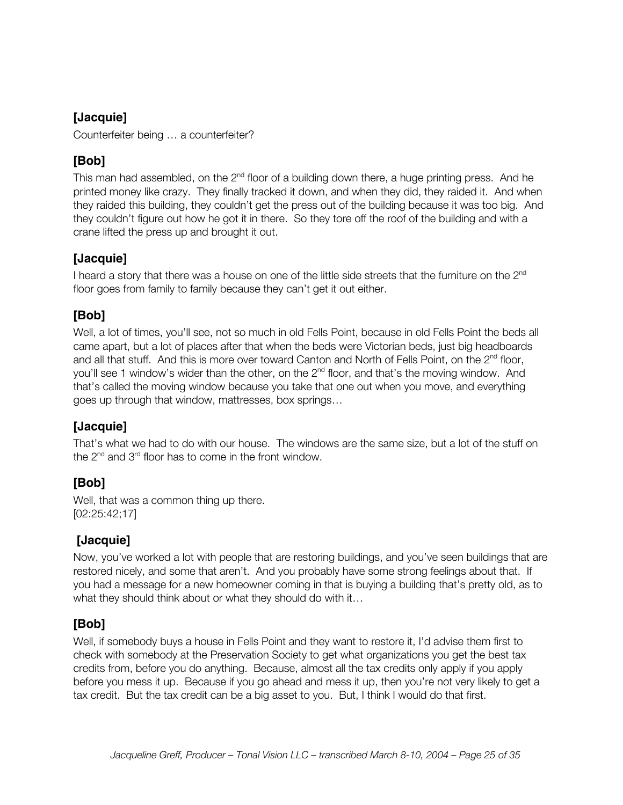Counterfeiter being … a counterfeiter?

# **[Bob]**

This man had assembled, on the  $2<sup>nd</sup>$  floor of a building down there, a huge printing press. And he printed money like crazy. They finally tracked it down, and when they did, they raided it. And when they raided this building, they couldn't get the press out of the building because it was too big. And they couldn't figure out how he got it in there. So they tore off the roof of the building and with a crane lifted the press up and brought it out.

### **[Jacquie]**

I heard a story that there was a house on one of the little side streets that the furniture on the  $2^{nd}$ floor goes from family to family because they can't get it out either.

### **[Bob]**

Well, a lot of times, you'll see, not so much in old Fells Point, because in old Fells Point the beds all came apart, but a lot of places after that when the beds were Victorian beds, just big headboards and all that stuff. And this is more over toward Canton and North of Fells Point, on the  $2<sup>nd</sup>$  floor, you'll see 1 window's wider than the other, on the 2<sup>nd</sup> floor, and that's the moving window. And that's called the moving window because you take that one out when you move, and everything goes up through that window, mattresses, box springs…

# **[Jacquie]**

That's what we had to do with our house. The windows are the same size, but a lot of the stuff on the  $2^{nd}$  and  $3^{rd}$  floor has to come in the front window.

# **[Bob]**

Well, that was a common thing up there. [02:25:42;17]

# **[Jacquie]**

Now, you've worked a lot with people that are restoring buildings, and you've seen buildings that are restored nicely, and some that aren't. And you probably have some strong feelings about that. If you had a message for a new homeowner coming in that is buying a building that's pretty old, as to what they should think about or what they should do with it…

# **[Bob]**

Well, if somebody buys a house in Fells Point and they want to restore it, I'd advise them first to check with somebody at the Preservation Society to get what organizations you get the best tax credits from, before you do anything. Because, almost all the tax credits only apply if you apply before you mess it up. Because if you go ahead and mess it up, then you're not very likely to get a tax credit. But the tax credit can be a big asset to you. But, I think I would do that first.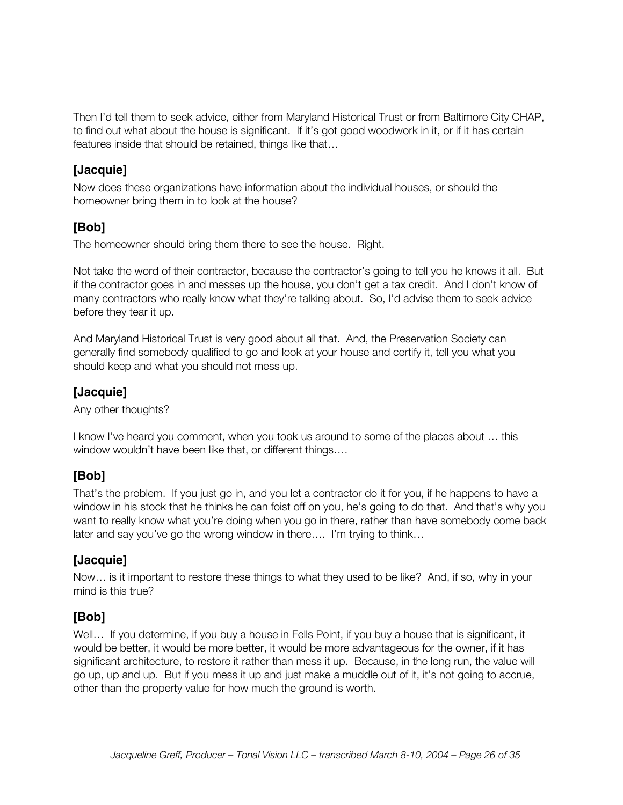Then I'd tell them to seek advice, either from Maryland Historical Trust or from Baltimore City CHAP, to find out what about the house is significant. If it's got good woodwork in it, or if it has certain features inside that should be retained, things like that…

### **[Jacquie]**

Now does these organizations have information about the individual houses, or should the homeowner bring them in to look at the house?

### **[Bob]**

The homeowner should bring them there to see the house. Right.

Not take the word of their contractor, because the contractor's going to tell you he knows it all. But if the contractor goes in and messes up the house, you don't get a tax credit. And I don't know of many contractors who really know what they're talking about. So, I'd advise them to seek advice before they tear it up.

And Maryland Historical Trust is very good about all that. And, the Preservation Society can generally find somebody qualified to go and look at your house and certify it, tell you what you should keep and what you should not mess up.

### **[Jacquie]**

Any other thoughts?

I know I've heard you comment, when you took us around to some of the places about … this window wouldn't have been like that, or different things….

# **[Bob]**

That's the problem. If you just go in, and you let a contractor do it for you, if he happens to have a window in his stock that he thinks he can foist off on you, he's going to do that. And that's why you want to really know what you're doing when you go in there, rather than have somebody come back later and say you've go the wrong window in there…. I'm trying to think…

# **[Jacquie]**

Now… is it important to restore these things to what they used to be like? And, if so, why in your mind is this true?

### **[Bob]**

Well... If you determine, if you buy a house in Fells Point, if you buy a house that is significant, it would be better, it would be more better, it would be more advantageous for the owner, if it has significant architecture, to restore it rather than mess it up. Because, in the long run, the value will go up, up and up. But if you mess it up and just make a muddle out of it, it's not going to accrue, other than the property value for how much the ground is worth.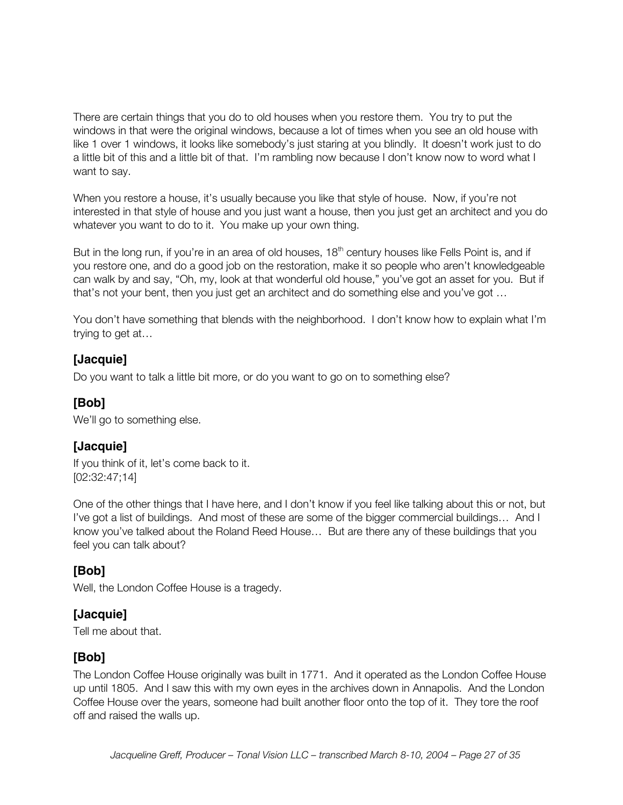There are certain things that you do to old houses when you restore them. You try to put the windows in that were the original windows, because a lot of times when you see an old house with like 1 over 1 windows, it looks like somebody's just staring at you blindly. It doesn't work just to do a little bit of this and a little bit of that. I'm rambling now because I don't know now to word what I want to say.

When you restore a house, it's usually because you like that style of house. Now, if you're not interested in that style of house and you just want a house, then you just get an architect and you do whatever you want to do to it. You make up your own thing.

But in the long run, if you're in an area of old houses,  $18<sup>th</sup>$  century houses like Fells Point is, and if you restore one, and do a good job on the restoration, make it so people who aren't knowledgeable can walk by and say, "Oh, my, look at that wonderful old house," you've got an asset for you. But if that's not your bent, then you just get an architect and do something else and you've got …

You don't have something that blends with the neighborhood. I don't know how to explain what I'm trying to get at…

### **[Jacquie]**

Do you want to talk a little bit more, or do you want to go on to something else?

### **[Bob]**

We'll go to something else.

### **[Jacquie]**

If you think of it, let's come back to it. [02:32:47;14]

One of the other things that I have here, and I don't know if you feel like talking about this or not, but I've got a list of buildings. And most of these are some of the bigger commercial buildings… And I know you've talked about the Roland Reed House… But are there any of these buildings that you feel you can talk about?

### **[Bob]**

Well, the London Coffee House is a tragedy.

### **[Jacquie]**

Tell me about that.

### **[Bob]**

The London Coffee House originally was built in 1771. And it operated as the London Coffee House up until 1805. And I saw this with my own eyes in the archives down in Annapolis. And the London Coffee House over the years, someone had built another floor onto the top of it. They tore the roof off and raised the walls up.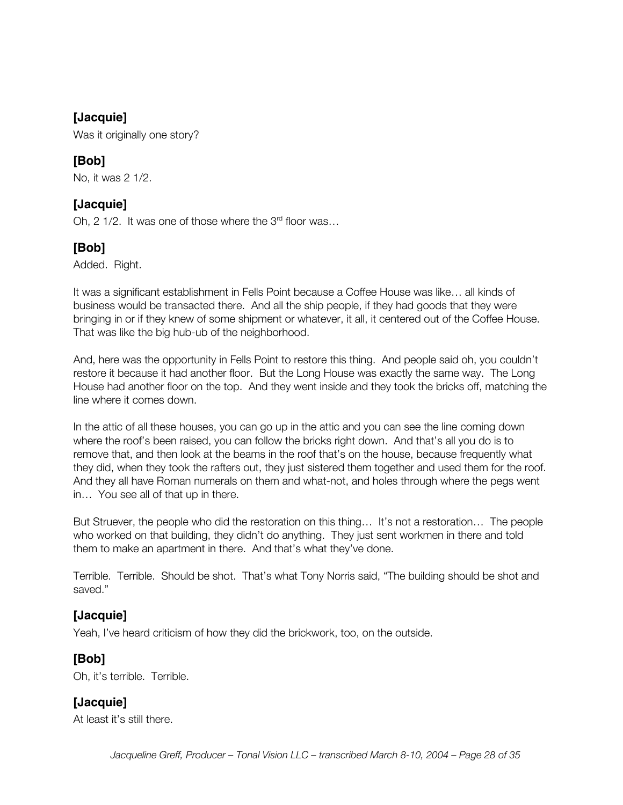Was it originally one story?

### **[Bob]**

No, it was 2 1/2.

### **[Jacquie]**

Oh, 2 1/2. It was one of those where the  $3<sup>rd</sup>$  floor was...

# **[Bob]**

Added. Right.

It was a significant establishment in Fells Point because a Coffee House was like… all kinds of business would be transacted there. And all the ship people, if they had goods that they were bringing in or if they knew of some shipment or whatever, it all, it centered out of the Coffee House. That was like the big hub-ub of the neighborhood.

And, here was the opportunity in Fells Point to restore this thing. And people said oh, you couldn't restore it because it had another floor. But the Long House was exactly the same way. The Long House had another floor on the top. And they went inside and they took the bricks off, matching the line where it comes down.

In the attic of all these houses, you can go up in the attic and you can see the line coming down where the roof's been raised, you can follow the bricks right down. And that's all you do is to remove that, and then look at the beams in the roof that's on the house, because frequently what they did, when they took the rafters out, they just sistered them together and used them for the roof. And they all have Roman numerals on them and what-not, and holes through where the pegs went in… You see all of that up in there.

But Struever, the people who did the restoration on this thing… It's not a restoration… The people who worked on that building, they didn't do anything. They just sent workmen in there and told them to make an apartment in there. And that's what they've done.

Terrible. Terrible. Should be shot. That's what Tony Norris said, "The building should be shot and saved."

### **[Jacquie]**

Yeah, I've heard criticism of how they did the brickwork, too, on the outside.

### **[Bob]**

Oh, it's terrible. Terrible.

# **[Jacquie]**

At least it's still there.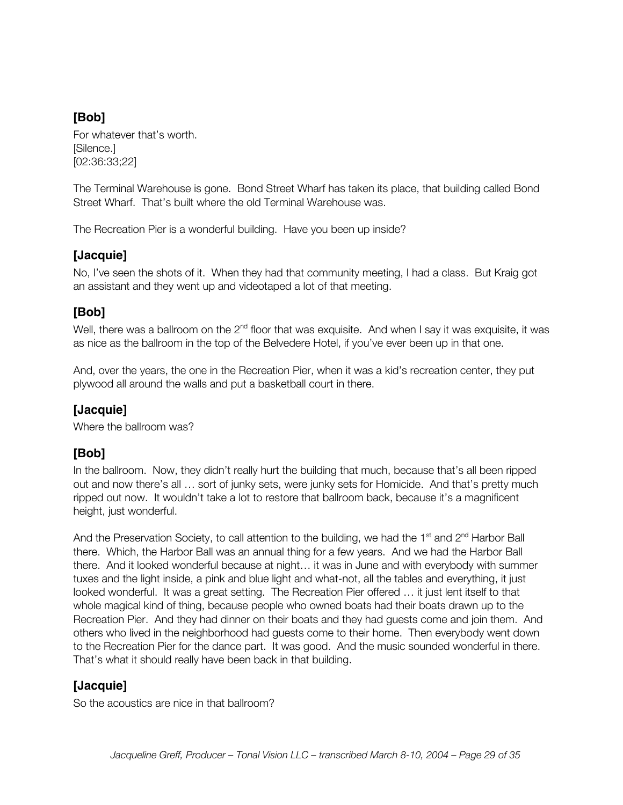For whatever that's worth. [Silence.] [02:36:33;22]

The Terminal Warehouse is gone. Bond Street Wharf has taken its place, that building called Bond Street Wharf. That's built where the old Terminal Warehouse was.

The Recreation Pier is a wonderful building. Have you been up inside?

### **[Jacquie]**

No, I've seen the shots of it. When they had that community meeting, I had a class. But Kraig got an assistant and they went up and videotaped a lot of that meeting.

### **[Bob]**

Well, there was a ballroom on the  $2^{nd}$  floor that was exquisite. And when I say it was exquisite, it was as nice as the ballroom in the top of the Belvedere Hotel, if you've ever been up in that one.

And, over the years, the one in the Recreation Pier, when it was a kid's recreation center, they put plywood all around the walls and put a basketball court in there.

### **[Jacquie]**

Where the ballroom was?

# **[Bob]**

In the ballroom. Now, they didn't really hurt the building that much, because that's all been ripped out and now there's all … sort of junky sets, were junky sets for Homicide. And that's pretty much ripped out now. It wouldn't take a lot to restore that ballroom back, because it's a magnificent height, just wonderful.

And the Preservation Society, to call attention to the building, we had the  $1<sup>st</sup>$  and  $2<sup>nd</sup>$  Harbor Ball there. Which, the Harbor Ball was an annual thing for a few years. And we had the Harbor Ball there. And it looked wonderful because at night… it was in June and with everybody with summer tuxes and the light inside, a pink and blue light and what-not, all the tables and everything, it just looked wonderful. It was a great setting. The Recreation Pier offered … it just lent itself to that whole magical kind of thing, because people who owned boats had their boats drawn up to the Recreation Pier. And they had dinner on their boats and they had guests come and join them. And others who lived in the neighborhood had guests come to their home. Then everybody went down to the Recreation Pier for the dance part. It was good. And the music sounded wonderful in there. That's what it should really have been back in that building.

### **[Jacquie]**

So the acoustics are nice in that ballroom?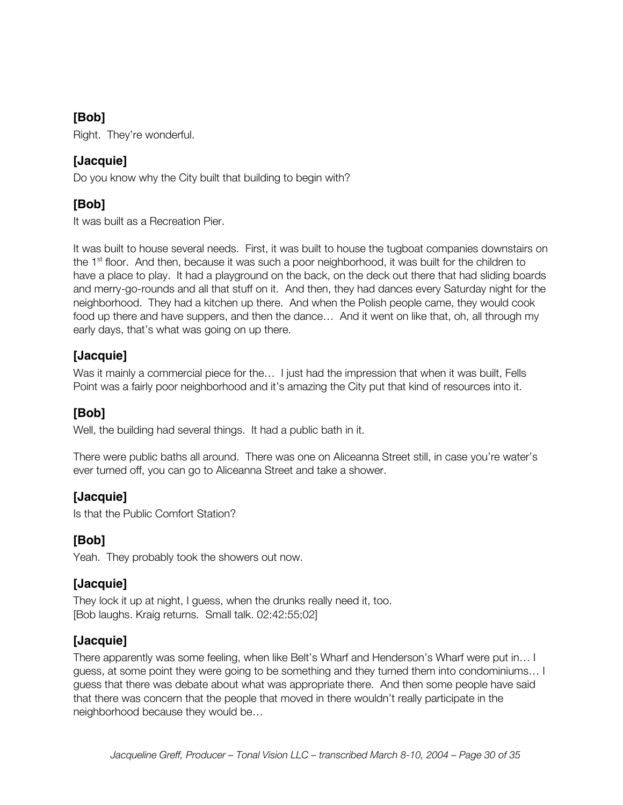Right. They're wonderful.

### **[Jacquie]**

Do you know why the City built that building to begin with?

# **[Bob]**

It was built as a Recreation Pier.

It was built to house several needs. First, it was built to house the tugboat companies downstairs on the 1<sup>st</sup> floor. And then, because it was such a poor neighborhood, it was built for the children to have a place to play. It had a playground on the back, on the deck out there that had sliding boards and merry-go-rounds and all that stuff on it. And then, they had dances every Saturday night for the neighborhood. They had a kitchen up there. And when the Polish people came, they would cook food up there and have suppers, and then the dance… And it went on like that, oh, all through my early days, that's what was going on up there.

### **[Jacquie]**

Was it mainly a commercial piece for the... I just had the impression that when it was built, Fells Point was a fairly poor neighborhood and it's amazing the City put that kind of resources into it.

### **[Bob]**

Well, the building had several things. It had a public bath in it.

There were public baths all around. There was one on Aliceanna Street still, in case you're water's ever turned off, you can go to Aliceanna Street and take a shower.

### **[Jacquie]**

Is that the Public Comfort Station?

### **[Bob]**

Yeah. They probably took the showers out now.

#### **[Jacquie]**

They lock it up at night, I guess, when the drunks really need it, too. [Bob laughs. Kraig returns. Small talk. 02:42:55;02]

### **[Jacquie]**

There apparently was some feeling, when like Belt's Wharf and Henderson's Wharf were put in… I guess, at some point they were going to be something and they turned them into condominiums… I guess that there was debate about what was appropriate there. And then some people have said that there was concern that the people that moved in there wouldn't really participate in the neighborhood because they would be…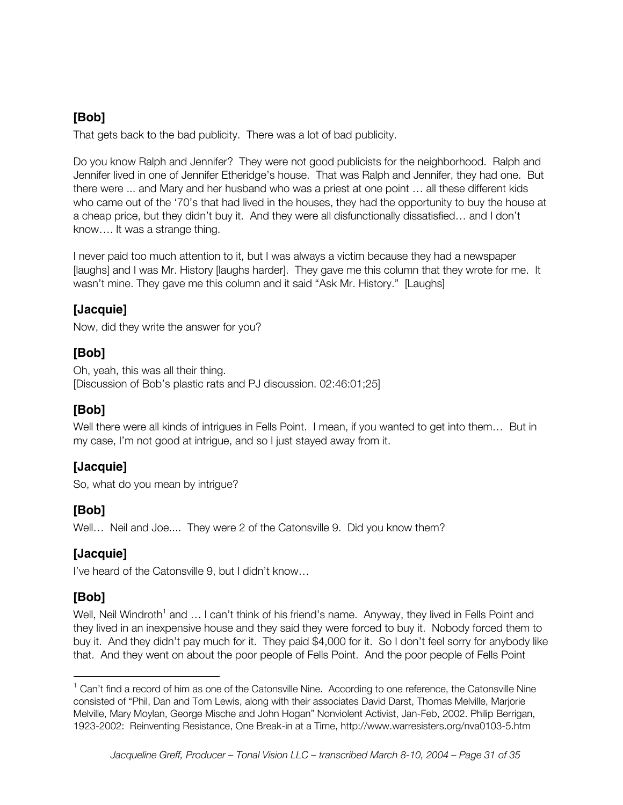That gets back to the bad publicity. There was a lot of bad publicity.

Do you know Ralph and Jennifer? They were not good publicists for the neighborhood. Ralph and Jennifer lived in one of Jennifer Etheridge's house. That was Ralph and Jennifer, they had one. But there were ... and Mary and her husband who was a priest at one point … all these different kids who came out of the '70's that had lived in the houses, they had the opportunity to buy the house at a cheap price, but they didn't buy it. And they were all disfunctionally dissatisfied… and I don't know…. It was a strange thing.

I never paid too much attention to it, but I was always a victim because they had a newspaper [laughs] and I was Mr. History [laughs harder]. They gave me this column that they wrote for me. It wasn't mine. They gave me this column and it said "Ask Mr. History." [Laughs]

# **[Jacquie]**

Now, did they write the answer for you?

### **[Bob]**

Oh, yeah, this was all their thing. [Discussion of Bob's plastic rats and PJ discussion. 02:46:01;25]

### **[Bob]**

Well there were all kinds of intrigues in Fells Point. I mean, if you wanted to get into them... But in my case, I'm not good at intrigue, and so I just stayed away from it.

### **[Jacquie]**

So, what do you mean by intrigue?

### **[Bob]**

Well... Neil and Joe.... They were 2 of the Catonsville 9. Did you know them?

### **[Jacquie]**

I've heard of the Catonsville 9, but I didn't know…

# **[Bob]**

Well, Neil Windroth<sup>1</sup> and ... I can't think of his friend's name. Anyway, they lived in Fells Point and they lived in an inexpensive house and they said they were forced to buy it. Nobody forced them to buy it. And they didn't pay much for it. They paid \$4,000 for it. So I don't feel sorry for anybody like that. And they went on about the poor people of Fells Point. And the poor people of Fells Point

 $1$  Can't find a record of him as one of the Catonsville Nine. According to one reference, the Catonsville Nine consisted of "Phil, Dan and Tom Lewis, along with their associates David Darst, Thomas Melville, Marjorie Melville, Mary Moylan, George Mische and John Hogan" Nonviolent Activist, Jan-Feb, 2002. Philip Berrigan, 1923-2002: Reinventing Resistance, One Break-in at a Time, http://www.warresisters.org/nva0103-5.htm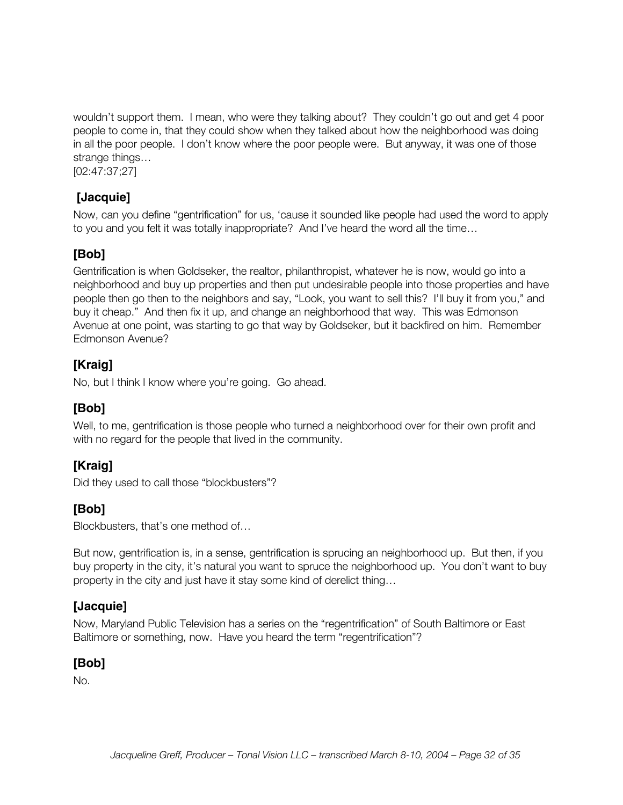wouldn't support them. I mean, who were they talking about? They couldn't go out and get 4 poor people to come in, that they could show when they talked about how the neighborhood was doing in all the poor people. I don't know where the poor people were. But anyway, it was one of those strange things…

[02:47:37;27]

### **[Jacquie]**

Now, can you define "gentrification" for us, 'cause it sounded like people had used the word to apply to you and you felt it was totally inappropriate? And I've heard the word all the time…

### **[Bob]**

Gentrification is when Goldseker, the realtor, philanthropist, whatever he is now, would go into a neighborhood and buy up properties and then put undesirable people into those properties and have people then go then to the neighbors and say, "Look, you want to sell this? I'll buy it from you," and buy it cheap." And then fix it up, and change an neighborhood that way. This was Edmonson Avenue at one point, was starting to go that way by Goldseker, but it backfired on him. Remember Edmonson Avenue?

### **[Kraig]**

No, but I think I know where you're going. Go ahead.

### **[Bob]**

Well, to me, gentrification is those people who turned a neighborhood over for their own profit and with no regard for the people that lived in the community.

# **[Kraig]**

Did they used to call those "blockbusters"?

### **[Bob]**

Blockbusters, that's one method of…

But now, gentrification is, in a sense, gentrification is sprucing an neighborhood up. But then, if you buy property in the city, it's natural you want to spruce the neighborhood up. You don't want to buy property in the city and just have it stay some kind of derelict thing…

### **[Jacquie]**

Now, Maryland Public Television has a series on the "regentrification" of South Baltimore or East Baltimore or something, now. Have you heard the term "regentrification"?

### **[Bob]**

No.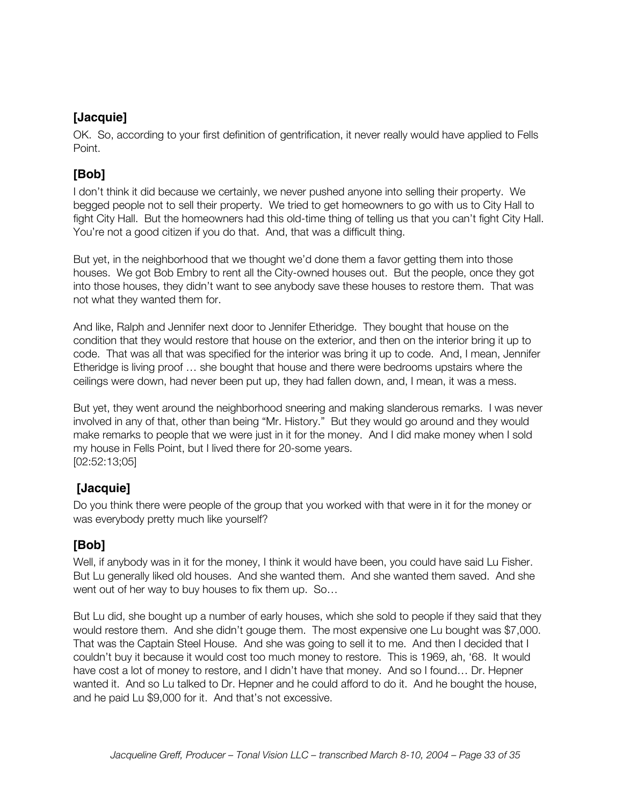OK. So, according to your first definition of gentrification, it never really would have applied to Fells Point.

# **[Bob]**

I don't think it did because we certainly, we never pushed anyone into selling their property. We begged people not to sell their property. We tried to get homeowners to go with us to City Hall to fight City Hall. But the homeowners had this old-time thing of telling us that you can't fight City Hall. You're not a good citizen if you do that. And, that was a difficult thing.

But yet, in the neighborhood that we thought we'd done them a favor getting them into those houses. We got Bob Embry to rent all the City-owned houses out. But the people, once they got into those houses, they didn't want to see anybody save these houses to restore them. That was not what they wanted them for.

And like, Ralph and Jennifer next door to Jennifer Etheridge. They bought that house on the condition that they would restore that house on the exterior, and then on the interior bring it up to code. That was all that was specified for the interior was bring it up to code. And, I mean, Jennifer Etheridge is living proof … she bought that house and there were bedrooms upstairs where the ceilings were down, had never been put up, they had fallen down, and, I mean, it was a mess.

But yet, they went around the neighborhood sneering and making slanderous remarks. I was never involved in any of that, other than being "Mr. History." But they would go around and they would make remarks to people that we were just in it for the money. And I did make money when I sold my house in Fells Point, but I lived there for 20-some years. [02:52:13;05]

# **[Jacquie]**

Do you think there were people of the group that you worked with that were in it for the money or was everybody pretty much like yourself?

### **[Bob]**

Well, if anybody was in it for the money, I think it would have been, you could have said Lu Fisher. But Lu generally liked old houses. And she wanted them. And she wanted them saved. And she went out of her way to buy houses to fix them up. So…

But Lu did, she bought up a number of early houses, which she sold to people if they said that they would restore them. And she didn't gouge them. The most expensive one Lu bought was \$7,000. That was the Captain Steel House. And she was going to sell it to me. And then I decided that I couldn't buy it because it would cost too much money to restore. This is 1969, ah, '68. It would have cost a lot of money to restore, and I didn't have that money. And so I found... Dr. Hepner wanted it. And so Lu talked to Dr. Hepner and he could afford to do it. And he bought the house, and he paid Lu \$9,000 for it. And that's not excessive.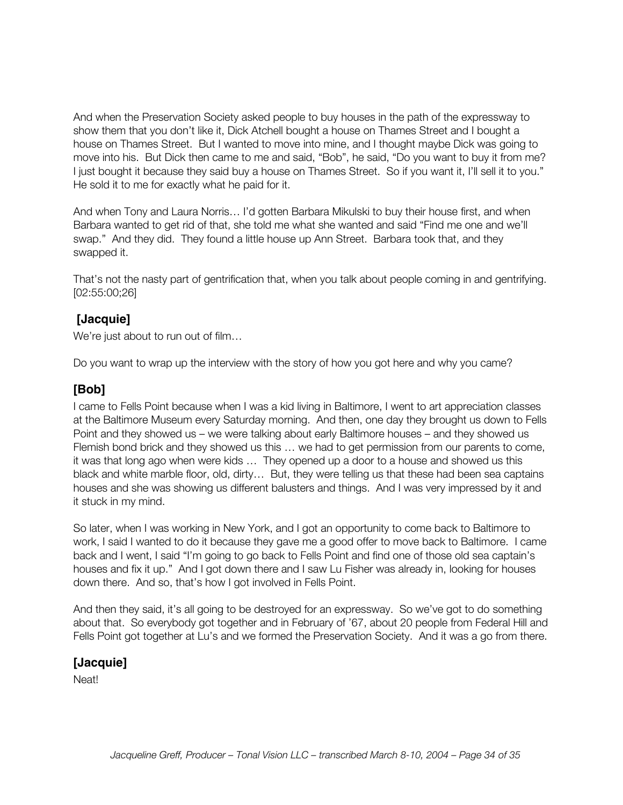And when the Preservation Society asked people to buy houses in the path of the expressway to show them that you don't like it, Dick Atchell bought a house on Thames Street and I bought a house on Thames Street. But I wanted to move into mine, and I thought maybe Dick was going to move into his. But Dick then came to me and said, "Bob", he said, "Do you want to buy it from me? I just bought it because they said buy a house on Thames Street. So if you want it, I'll sell it to you." He sold it to me for exactly what he paid for it.

And when Tony and Laura Norris… I'd gotten Barbara Mikulski to buy their house first, and when Barbara wanted to get rid of that, she told me what she wanted and said "Find me one and we'll swap." And they did. They found a little house up Ann Street. Barbara took that, and they swapped it.

That's not the nasty part of gentrification that, when you talk about people coming in and gentrifying. [02:55:00;26]

### **[Jacquie]**

We're just about to run out of film…

Do you want to wrap up the interview with the story of how you got here and why you came?

### **[Bob]**

I came to Fells Point because when I was a kid living in Baltimore, I went to art appreciation classes at the Baltimore Museum every Saturday morning. And then, one day they brought us down to Fells Point and they showed us – we were talking about early Baltimore houses – and they showed us Flemish bond brick and they showed us this … we had to get permission from our parents to come, it was that long ago when were kids … They opened up a door to a house and showed us this black and white marble floor, old, dirty… But, they were telling us that these had been sea captains houses and she was showing us different balusters and things. And I was very impressed by it and it stuck in my mind.

So later, when I was working in New York, and I got an opportunity to come back to Baltimore to work, I said I wanted to do it because they gave me a good offer to move back to Baltimore. I came back and I went, I said "I'm going to go back to Fells Point and find one of those old sea captain's houses and fix it up." And I got down there and I saw Lu Fisher was already in, looking for houses down there. And so, that's how I got involved in Fells Point.

And then they said, it's all going to be destroyed for an expressway. So we've got to do something about that. So everybody got together and in February of '67, about 20 people from Federal Hill and Fells Point got together at Lu's and we formed the Preservation Society. And it was a go from there.

### **[Jacquie]**

Neat!